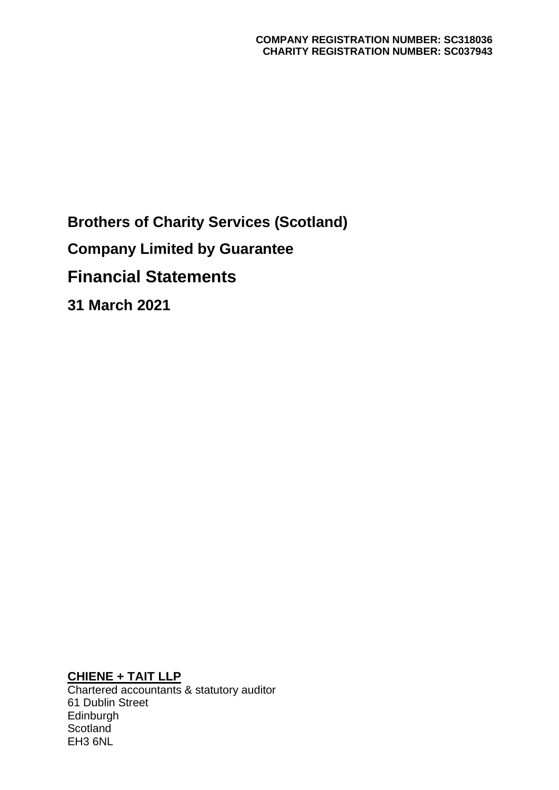**Brothers of Charity Services (Scotland) Company Limited by Guarantee Financial Statements 31 March 2021**

**CHIENE + TAIT LLP**

Chartered accountants & statutory auditor 61 Dublin Street **Edinburgh Scotland** EH3 6NL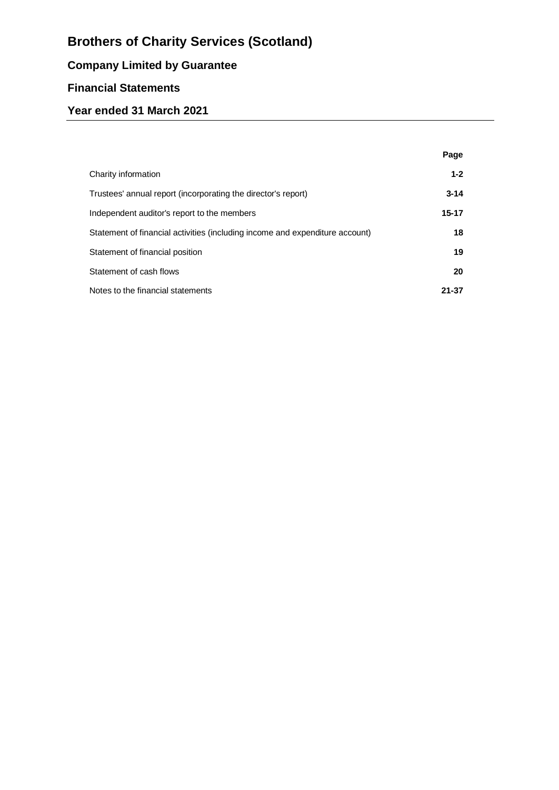# **Company Limited by Guarantee**

# **Financial Statements**

# **Year ended 31 March 2021**

|                                                                              | Page     |
|------------------------------------------------------------------------------|----------|
| Charity information                                                          | $1 - 2$  |
| Trustees' annual report (incorporating the director's report)                | $3 - 14$ |
| Independent auditor's report to the members                                  | 15-17    |
| Statement of financial activities (including income and expenditure account) | 18       |
| Statement of financial position                                              | 19       |
| Statement of cash flows                                                      | 20       |
| Notes to the financial statements                                            | 21-37    |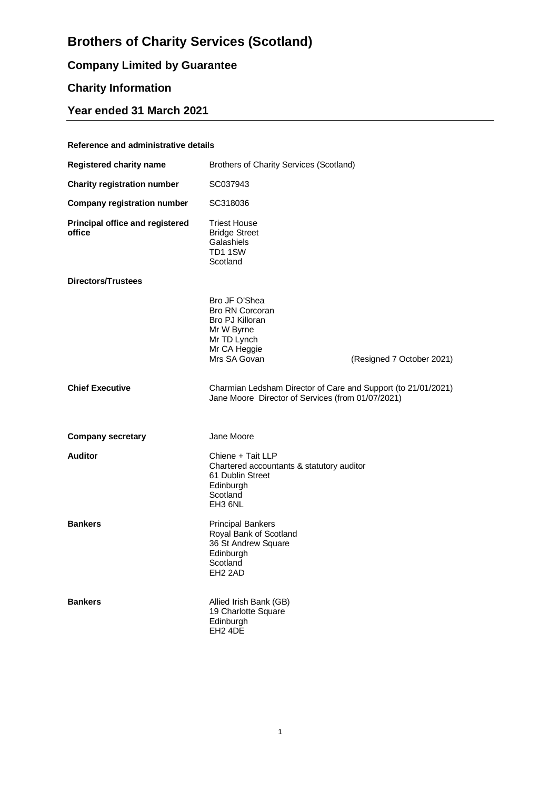# **Company Limited by Guarantee**

# **Charity Information**

# **Year ended 31 March 2021**

#### **Reference and administrative details**

| <b>Registered charity name</b>            | <b>Brothers of Charity Services (Scotland)</b>                                                                                 |                           |
|-------------------------------------------|--------------------------------------------------------------------------------------------------------------------------------|---------------------------|
| <b>Charity registration number</b>        | SC037943                                                                                                                       |                           |
| <b>Company registration number</b>        | SC318036                                                                                                                       |                           |
| Principal office and registered<br>office | <b>Triest House</b><br><b>Bridge Street</b><br>Galashiels<br>TD1 1SW<br>Scotland                                               |                           |
| Directors/Trustees                        |                                                                                                                                |                           |
|                                           | Bro JF O'Shea<br><b>Bro RN Corcoran</b><br><b>Bro PJ Killoran</b><br>Mr W Byrne<br>Mr TD Lynch<br>Mr CA Heggie<br>Mrs SA Govan | (Resigned 7 October 2021) |
| <b>Chief Executive</b>                    | Charmian Ledsham Director of Care and Support (to 21/01/2021)<br>Jane Moore Director of Services (from 01/07/2021)             |                           |
| <b>Company secretary</b>                  | Jane Moore                                                                                                                     |                           |
| <b>Auditor</b>                            | Chiene + Tait LLP<br>Chartered accountants & statutory auditor<br>61 Dublin Street<br>Edinburgh<br>Scotland<br>EH3 6NL         |                           |
| <b>Bankers</b>                            | <b>Principal Bankers</b><br>Royal Bank of Scotland<br>36 St Andrew Square<br>Edinburgh<br>Scotland<br>EH <sub>2</sub> 2AD      |                           |
| <b>Bankers</b>                            | Allied Irish Bank (GB)<br>19 Charlotte Square<br>Edinburgh<br>EH <sub>2</sub> 4DE                                              |                           |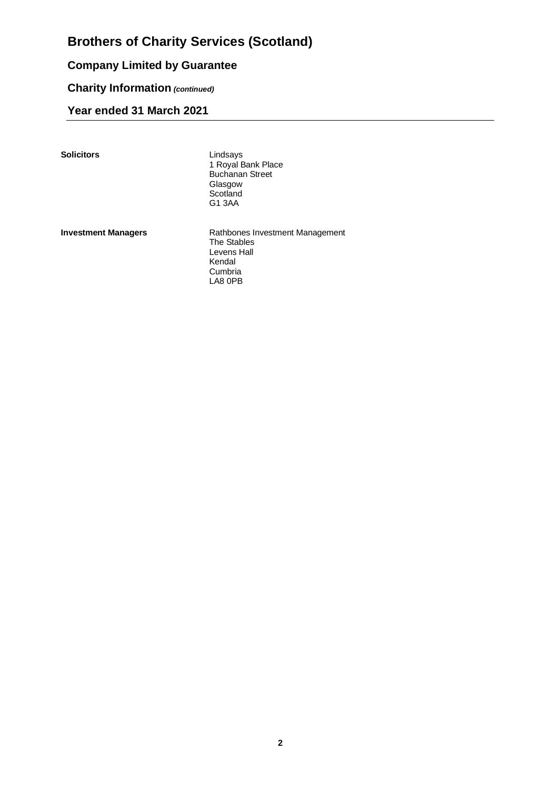# **Company Limited by Guarantee**

# **Charity Information** *(continued)*

# **Year ended 31 March 2021**

**Solicitors** 

Lindsays<br>1 Royal Bank Place Buchanan Street Glasgow **Scotland** G1 3AA

**Investment Managers** Rathbones Investment Management The Stables Levens Hall Kendal Cumbria LA8 0PB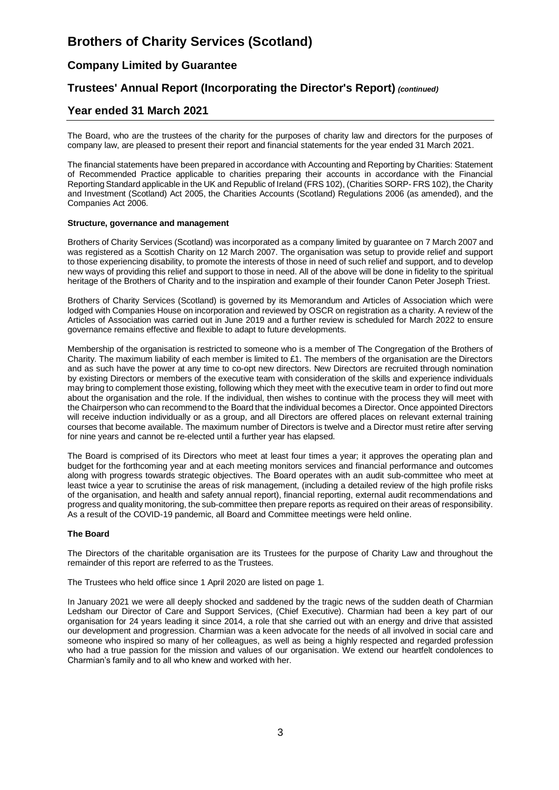# **Company Limited by Guarantee**

# **Trustees' Annual Report (Incorporating the Director's Report)** *(continued)*

## **Year ended 31 March 2021**

The Board, who are the trustees of the charity for the purposes of charity law and directors for the purposes of company law, are pleased to present their report and financial statements for the year ended 31 March 2021.

The financial statements have been prepared in accordance with Accounting and Reporting by Charities: Statement of Recommended Practice applicable to charities preparing their accounts in accordance with the Financial Reporting Standard applicable in the UK and Republic of Ireland (FRS 102), (Charities SORP- FRS 102), the Charity and Investment (Scotland) Act 2005, the Charities Accounts (Scotland) Regulations 2006 (as amended), and the Companies Act 2006.

#### **Structure, governance and management**

Brothers of Charity Services (Scotland) was incorporated as a company limited by guarantee on 7 March 2007 and was registered as a Scottish Charity on 12 March 2007. The organisation was setup to provide relief and support to those experiencing disability, to promote the interests of those in need of such relief and support, and to develop new ways of providing this relief and support to those in need. All of the above will be done in fidelity to the spiritual heritage of the Brothers of Charity and to the inspiration and example of their founder Canon Peter Joseph Triest.

Brothers of Charity Services (Scotland) is governed by its Memorandum and Articles of Association which were lodged with Companies House on incorporation and reviewed by OSCR on registration as a charity. A review of the Articles of Association was carried out in June 2019 and a further review is scheduled for March 2022 to ensure governance remains effective and flexible to adapt to future developments.

Membership of the organisation is restricted to someone who is a member of The Congregation of the Brothers of Charity. The maximum liability of each member is limited to £1. The members of the organisation are the Directors and as such have the power at any time to co-opt new directors. New Directors are recruited through nomination by existing Directors or members of the executive team with consideration of the skills and experience individuals may bring to complement those existing, following which they meet with the executive team in order to find out more about the organisation and the role. If the individual, then wishes to continue with the process they will meet with the Chairperson who can recommend to the Board that the individual becomes a Director. Once appointed Directors will receive induction individually or as a group, and all Directors are offered places on relevant external training courses that become available. The maximum number of Directors is twelve and a Director must retire after serving for nine years and cannot be re-elected until a further year has elapsed.

The Board is comprised of its Directors who meet at least four times a year; it approves the operating plan and budget for the forthcoming year and at each meeting monitors services and financial performance and outcomes along with progress towards strategic objectives. The Board operates with an audit sub-committee who meet at least twice a year to scrutinise the areas of risk management, (including a detailed review of the high profile risks of the organisation, and health and safety annual report), financial reporting, external audit recommendations and progress and quality monitoring, the sub-committee then prepare reports as required on their areas of responsibility. As a result of the COVID-19 pandemic, all Board and Committee meetings were held online.

#### **The Board**

The Directors of the charitable organisation are its Trustees for the purpose of Charity Law and throughout the remainder of this report are referred to as the Trustees.

The Trustees who held office since 1 April 2020 are listed on page 1.

In January 2021 we were all deeply shocked and saddened by the tragic news of the sudden death of Charmian Ledsham our Director of Care and Support Services, (Chief Executive). Charmian had been a key part of our organisation for 24 years leading it since 2014, a role that she carried out with an energy and drive that assisted our development and progression. Charmian was a keen advocate for the needs of all involved in social care and someone who inspired so many of her colleagues, as well as being a highly respected and regarded profession who had a true passion for the mission and values of our organisation. We extend our heartfelt condolences to Charmian's family and to all who knew and worked with her.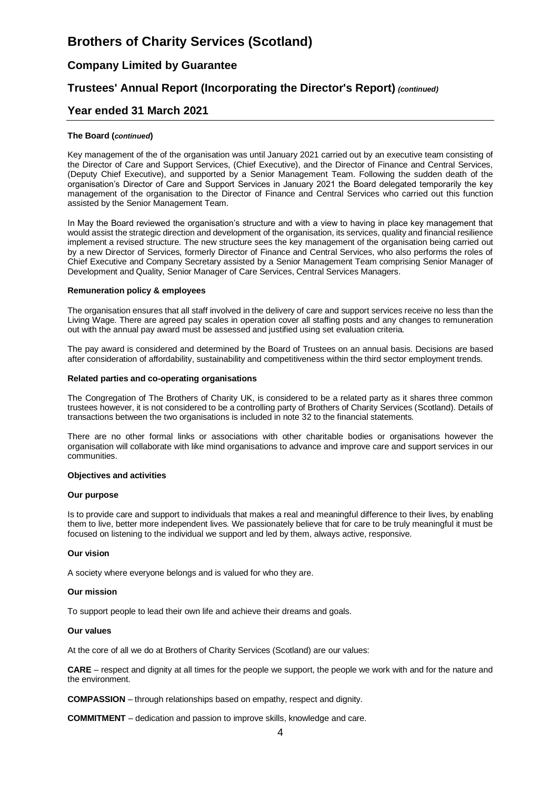# **Company Limited by Guarantee**

# **Trustees' Annual Report (Incorporating the Director's Report)** *(continued)*

### **Year ended 31 March 2021**

#### **The Board (***continued***)**

Key management of the of the organisation was until January 2021 carried out by an executive team consisting of the Director of Care and Support Services, (Chief Executive), and the Director of Finance and Central Services, (Deputy Chief Executive), and supported by a Senior Management Team. Following the sudden death of the organisation's Director of Care and Support Services in January 2021 the Board delegated temporarily the key management of the organisation to the Director of Finance and Central Services who carried out this function assisted by the Senior Management Team.

In May the Board reviewed the organisation's structure and with a view to having in place key management that would assist the strategic direction and development of the organisation, its services, quality and financial resilience implement a revised structure. The new structure sees the key management of the organisation being carried out by a new Director of Services, formerly Director of Finance and Central Services, who also performs the roles of Chief Executive and Company Secretary assisted by a Senior Management Team comprising Senior Manager of Development and Quality, Senior Manager of Care Services, Central Services Managers.

#### **Remuneration policy & employees**

The organisation ensures that all staff involved in the delivery of care and support services receive no less than the Living Wage. There are agreed pay scales in operation cover all staffing posts and any changes to remuneration out with the annual pay award must be assessed and justified using set evaluation criteria.

The pay award is considered and determined by the Board of Trustees on an annual basis. Decisions are based after consideration of affordability, sustainability and competitiveness within the third sector employment trends.

#### **Related parties and co-operating organisations**

The Congregation of The Brothers of Charity UK, is considered to be a related party as it shares three common trustees however, it is not considered to be a controlling party of Brothers of Charity Services (Scotland). Details of transactions between the two organisations is included in note 32 to the financial statements.

There are no other formal links or associations with other charitable bodies or organisations however the organisation will collaborate with like mind organisations to advance and improve care and support services in our communities.

#### **Objectives and activities**

#### **Our purpose**

Is to provide care and support to individuals that makes a real and meaningful difference to their lives, by enabling them to live, better more independent lives. We passionately believe that for care to be truly meaningful it must be focused on listening to the individual we support and led by them, always active, responsive.

#### **Our vision**

A society where everyone belongs and is valued for who they are.

#### **Our mission**

To support people to lead their own life and achieve their dreams and goals.

#### **Our values**

At the core of all we do at Brothers of Charity Services (Scotland) are our values:

**CARE** – respect and dignity at all times for the people we support, the people we work with and for the nature and the environment.

**COMPASSION** – through relationships based on empathy, respect and dignity.

**COMMITMENT** – dedication and passion to improve skills, knowledge and care.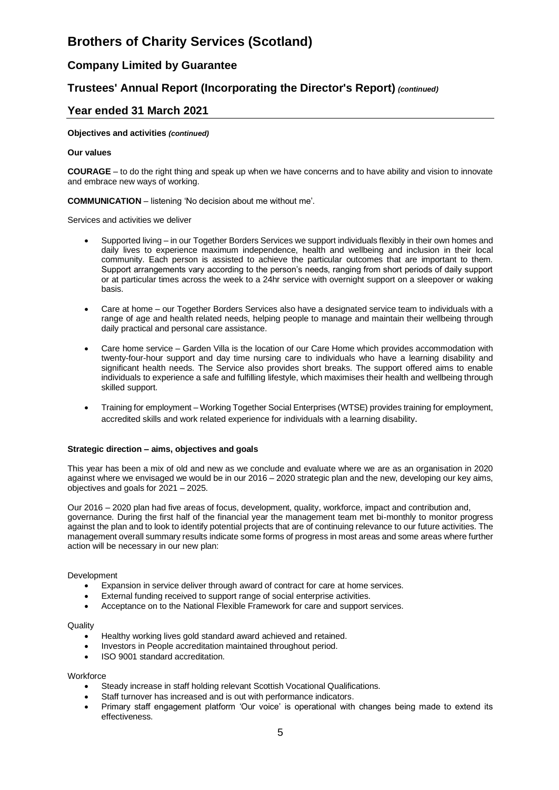# **Company Limited by Guarantee**

# **Trustees' Annual Report (Incorporating the Director's Report)** *(continued)*

### **Year ended 31 March 2021**

#### **Objectives and activities** *(continued)*

#### **Our values**

**COURAGE** – to do the right thing and speak up when we have concerns and to have ability and vision to innovate and embrace new ways of working.

#### **COMMUNICATION** – listening 'No decision about me without me'.

Services and activities we deliver

- Supported living in our Together Borders Services we support individuals flexibly in their own homes and daily lives to experience maximum independence, health and wellbeing and inclusion in their local community. Each person is assisted to achieve the particular outcomes that are important to them. Support arrangements vary according to the person's needs, ranging from short periods of daily support or at particular times across the week to a 24hr service with overnight support on a sleepover or waking basis.
- Care at home our Together Borders Services also have a designated service team to individuals with a range of age and health related needs, helping people to manage and maintain their wellbeing through daily practical and personal care assistance.
- Care home service Garden Villa is the location of our Care Home which provides accommodation with twenty-four-hour support and day time nursing care to individuals who have a learning disability and significant health needs. The Service also provides short breaks. The support offered aims to enable individuals to experience a safe and fulfilling lifestyle, which maximises their health and wellbeing through skilled support.
- Training for employment Working Together Social Enterprises (WTSE) provides training for employment, accredited skills and work related experience for individuals with a learning disability.

#### **Strategic direction – aims, objectives and goals**

This year has been a mix of old and new as we conclude and evaluate where we are as an organisation in 2020 against where we envisaged we would be in our 2016 – 2020 strategic plan and the new, developing our key aims, objectives and goals for 2021 – 2025.

Our 2016 – 2020 plan had five areas of focus, development, quality, workforce, impact and contribution and, governance. During the first half of the financial year the management team met bi-monthly to monitor progress against the plan and to look to identify potential projects that are of continuing relevance to our future activities. The management overall summary results indicate some forms of progress in most areas and some areas where further action will be necessary in our new plan:

#### Development

- Expansion in service deliver through award of contract for care at home services.
- External funding received to support range of social enterprise activities.
- Acceptance on to the National Flexible Framework for care and support services.

#### **Quality**

- Healthy working lives gold standard award achieved and retained.
- Investors in People accreditation maintained throughout period.
- ISO 9001 standard accreditation.

#### **Workforce**

- Steady increase in staff holding relevant Scottish Vocational Qualifications.
- Staff turnover has increased and is out with performance indicators.
- Primary staff engagement platform 'Our voice' is operational with changes being made to extend its effectiveness.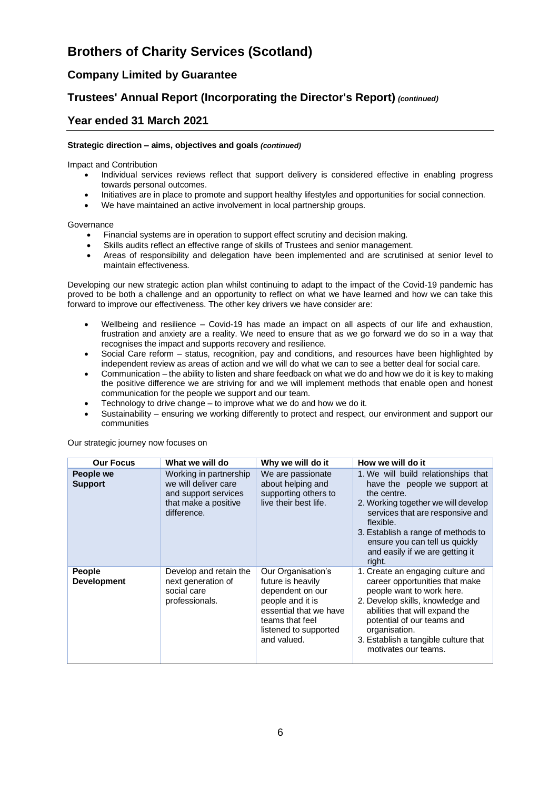# **Company Limited by Guarantee**

# **Trustees' Annual Report (Incorporating the Director's Report)** *(continued)*

## **Year ended 31 March 2021**

#### **Strategic direction – aims, objectives and goals** *(continued)*

Impact and Contribution

- Individual services reviews reflect that support delivery is considered effective in enabling progress towards personal outcomes.
- Initiatives are in place to promote and support healthy lifestyles and opportunities for social connection.
- We have maintained an active involvement in local partnership groups.

Governance

- Financial systems are in operation to support effect scrutiny and decision making.
- Skills audits reflect an effective range of skills of Trustees and senior management.
- Areas of responsibility and delegation have been implemented and are scrutinised at senior level to maintain effectiveness.

Developing our new strategic action plan whilst continuing to adapt to the impact of the Covid-19 pandemic has proved to be both a challenge and an opportunity to reflect on what we have learned and how we can take this forward to improve our effectiveness. The other key drivers we have consider are:

- Wellbeing and resilience Covid-19 has made an impact on all aspects of our life and exhaustion, frustration and anxiety are a reality. We need to ensure that as we go forward we do so in a way that recognises the impact and supports recovery and resilience.
- Social Care reform status, recognition, pay and conditions, and resources have been highlighted by independent review as areas of action and we will do what we can to see a better deal for social care.
- Communication the ability to listen and share feedback on what we do and how we do it is key to making the positive difference we are striving for and we will implement methods that enable open and honest communication for the people we support and our team.
- Technology to drive change to improve what we do and how we do it.
- Sustainability ensuring we working differently to protect and respect, our environment and support our communities

| <b>Our Focus</b>                    | What we will do                                                                                               | Why we will do it                                                                                                                                                    | How we will do it                                                                                                                                                                                                                                                                                |
|-------------------------------------|---------------------------------------------------------------------------------------------------------------|----------------------------------------------------------------------------------------------------------------------------------------------------------------------|--------------------------------------------------------------------------------------------------------------------------------------------------------------------------------------------------------------------------------------------------------------------------------------------------|
| People we<br><b>Support</b>         | Working in partnership<br>we will deliver care<br>and support services<br>that make a positive<br>difference. | We are passionate<br>about helping and<br>supporting others to<br>live their best life.                                                                              | 1. We will build relationships that<br>have the people we support at<br>the centre.<br>2. Working together we will develop<br>services that are responsive and<br>flexible.<br>3. Establish a range of methods to<br>ensure you can tell us quickly<br>and easily if we are getting it<br>right. |
| <b>People</b><br><b>Development</b> | Develop and retain the<br>next generation of<br>social care<br>professionals.                                 | Our Organisation's<br>future is heavily<br>dependent on our<br>people and it is<br>essential that we have<br>teams that feel<br>listened to supported<br>and valued. | 1. Create an engaging culture and<br>career opportunities that make<br>people want to work here.<br>2. Develop skills, knowledge and<br>abilities that will expand the<br>potential of our teams and<br>organisation.<br>3. Establish a tangible culture that<br>motivates our teams.            |

Our strategic journey now focuses on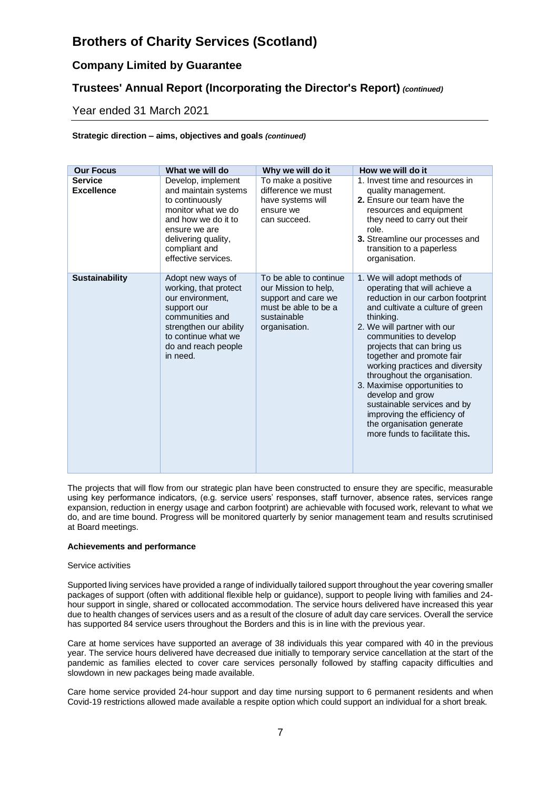# **Company Limited by Guarantee**

# **Trustees' Annual Report (Incorporating the Director's Report)** *(continued)*

## Year ended 31 March 2021

#### **Strategic direction – aims, objectives and goals** *(continued)*

| <b>Our Focus</b>                    | What we will do                                                                                                                                                                            | Why we will do it                                                                                                             | How we will do it                                                                                                                                                                                                                                                                                                                                                                                                                                                                                                          |
|-------------------------------------|--------------------------------------------------------------------------------------------------------------------------------------------------------------------------------------------|-------------------------------------------------------------------------------------------------------------------------------|----------------------------------------------------------------------------------------------------------------------------------------------------------------------------------------------------------------------------------------------------------------------------------------------------------------------------------------------------------------------------------------------------------------------------------------------------------------------------------------------------------------------------|
| <b>Service</b><br><b>Excellence</b> | Develop, implement<br>and maintain systems<br>to continuously<br>monitor what we do<br>and how we do it to<br>ensure we are<br>delivering quality,<br>compliant and<br>effective services. | To make a positive<br>difference we must<br>have systems will<br>ensure we<br>can succeed.                                    | 1. Invest time and resources in<br>quality management.<br>2. Ensure our team have the<br>resources and equipment<br>they need to carry out their<br>role.<br>3. Streamline our processes and<br>transition to a paperless<br>organisation.                                                                                                                                                                                                                                                                                 |
| <b>Sustainability</b>               | Adopt new ways of<br>working, that protect<br>our environment,<br>support our<br>communities and<br>strengthen our ability<br>to continue what we<br>do and reach people<br>in need.       | To be able to continue<br>our Mission to help,<br>support and care we<br>must be able to be a<br>sustainable<br>organisation. | 1. We will adopt methods of<br>operating that will achieve a<br>reduction in our carbon footprint<br>and cultivate a culture of green<br>thinking.<br>2. We will partner with our<br>communities to develop<br>projects that can bring us<br>together and promote fair<br>working practices and diversity<br>throughout the organisation.<br>3. Maximise opportunities to<br>develop and grow<br>sustainable services and by<br>improving the efficiency of<br>the organisation generate<br>more funds to facilitate this. |

The projects that will flow from our strategic plan have been constructed to ensure they are specific, measurable using key performance indicators, (e.g. service users' responses, staff turnover, absence rates, services range expansion, reduction in energy usage and carbon footprint) are achievable with focused work, relevant to what we do, and are time bound. Progress will be monitored quarterly by senior management team and results scrutinised at Board meetings.

#### **Achievements and performance**

#### Service activities

Supported living services have provided a range of individually tailored support throughout the year covering smaller packages of support (often with additional flexible help or guidance), support to people living with families and 24 hour support in single, shared or collocated accommodation. The service hours delivered have increased this year due to health changes of services users and as a result of the closure of adult day care services. Overall the service has supported 84 service users throughout the Borders and this is in line with the previous year.

Care at home services have supported an average of 38 individuals this year compared with 40 in the previous year. The service hours delivered have decreased due initially to temporary service cancellation at the start of the pandemic as families elected to cover care services personally followed by staffing capacity difficulties and slowdown in new packages being made available.

Care home service provided 24-hour support and day time nursing support to 6 permanent residents and when Covid-19 restrictions allowed made available a respite option which could support an individual for a short break.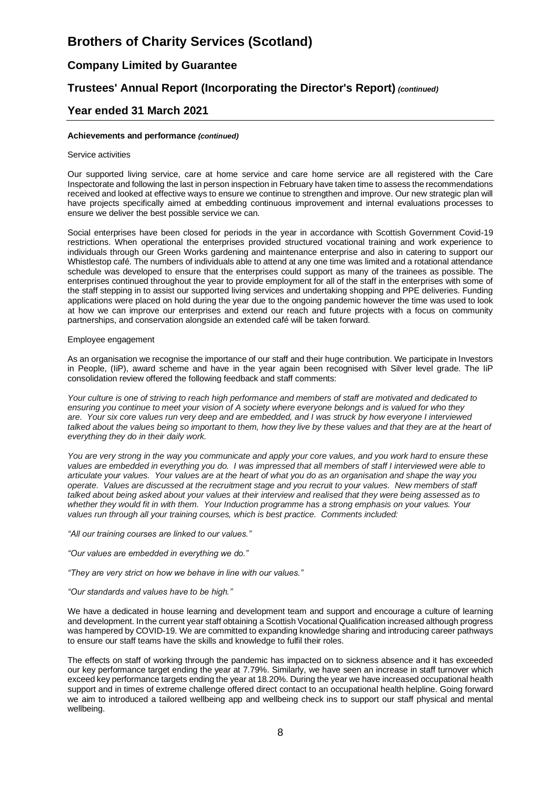# **Company Limited by Guarantee**

# **Trustees' Annual Report (Incorporating the Director's Report)** *(continued)*

### **Year ended 31 March 2021**

#### **Achievements and performance** *(continued)*

#### Service activities

Our supported living service, care at home service and care home service are all registered with the Care Inspectorate and following the last in person inspection in February have taken time to assess the recommendations received and looked at effective ways to ensure we continue to strengthen and improve. Our new strategic plan will have projects specifically aimed at embedding continuous improvement and internal evaluations processes to ensure we deliver the best possible service we can.

Social enterprises have been closed for periods in the year in accordance with Scottish Government Covid-19 restrictions. When operational the enterprises provided structured vocational training and work experience to individuals through our Green Works gardening and maintenance enterprise and also in catering to support our Whistlestop café. The numbers of individuals able to attend at any one time was limited and a rotational attendance schedule was developed to ensure that the enterprises could support as many of the trainees as possible. The enterprises continued throughout the year to provide employment for all of the staff in the enterprises with some of the staff stepping in to assist our supported living services and undertaking shopping and PPE deliveries. Funding applications were placed on hold during the year due to the ongoing pandemic however the time was used to look at how we can improve our enterprises and extend our reach and future projects with a focus on community partnerships, and conservation alongside an extended café will be taken forward.

#### Employee engagement

As an organisation we recognise the importance of our staff and their huge contribution. We participate in Investors in People, (IiP), award scheme and have in the year again been recognised with Silver level grade. The IiP consolidation review offered the following feedback and staff comments:

*Your culture is one of striving to reach high performance and members of staff are motivated and dedicated to ensuring you continue to meet your vision of A society where everyone belongs and is valued for who they are. Your six core values run very deep and are embedded, and I was struck by how everyone I interviewed*  talked about the values being so important to them, how they live by these values and that they are at the heart of *everything they do in their daily work.*

*You are very strong in the way you communicate and apply your core values, and you work hard to ensure these values are embedded in everything you do. I was impressed that all members of staff I interviewed were able to articulate your values. Your values are at the heart of what you do as an organisation and shape the way you operate. Values are discussed at the recruitment stage and you recruit to your values. New members of staff talked about being asked about your values at their interview and realised that they were being assessed as to whether they would fit in with them. Your Induction programme has a strong emphasis on your values. Your values run through all your training courses, which is best practice. Comments included:* 

*"All our training courses are linked to our values."* 

*"Our values are embedded in everything we do."* 

*"They are very strict on how we behave in line with our values."* 

#### *"Our standards and values have to be high."*

We have a dedicated in house learning and development team and support and encourage a culture of learning and development. In the current year staff obtaining a Scottish Vocational Qualification increased although progress was hampered by COVID-19. We are committed to expanding knowledge sharing and introducing career pathways to ensure our staff teams have the skills and knowledge to fulfil their roles.

The effects on staff of working through the pandemic has impacted on to sickness absence and it has exceeded our key performance target ending the year at 7.79%. Similarly, we have seen an increase in staff turnover which exceed key performance targets ending the year at 18.20%. During the year we have increased occupational health support and in times of extreme challenge offered direct contact to an occupational health helpline. Going forward we aim to introduced a tailored wellbeing app and wellbeing check ins to support our staff physical and mental wellbeing.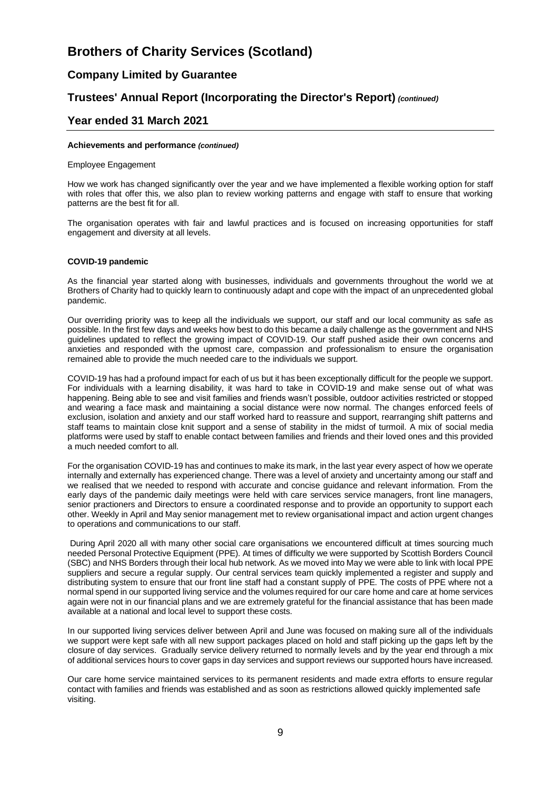# **Company Limited by Guarantee**

# **Trustees' Annual Report (Incorporating the Director's Report)** *(continued)*

### **Year ended 31 March 2021**

#### **Achievements and performance** *(continued)*

#### Employee Engagement

How we work has changed significantly over the year and we have implemented a flexible working option for staff with roles that offer this, we also plan to review working patterns and engage with staff to ensure that working patterns are the best fit for all.

The organisation operates with fair and lawful practices and is focused on increasing opportunities for staff engagement and diversity at all levels.

#### **COVID-19 pandemic**

As the financial year started along with businesses, individuals and governments throughout the world we at Brothers of Charity had to quickly learn to continuously adapt and cope with the impact of an unprecedented global pandemic.

Our overriding priority was to keep all the individuals we support, our staff and our local community as safe as possible. In the first few days and weeks how best to do this became a daily challenge as the government and NHS guidelines updated to reflect the growing impact of COVID-19. Our staff pushed aside their own concerns and anxieties and responded with the upmost care, compassion and professionalism to ensure the organisation remained able to provide the much needed care to the individuals we support.

COVID-19 has had a profound impact for each of us but it has been exceptionally difficult for the people we support. For individuals with a learning disability, it was hard to take in COVID-19 and make sense out of what was happening. Being able to see and visit families and friends wasn't possible, outdoor activities restricted or stopped and wearing a face mask and maintaining a social distance were now normal. The changes enforced feels of exclusion, isolation and anxiety and our staff worked hard to reassure and support, rearranging shift patterns and staff teams to maintain close knit support and a sense of stability in the midst of turmoil. A mix of social media platforms were used by staff to enable contact between families and friends and their loved ones and this provided a much needed comfort to all.

For the organisation COVID-19 has and continues to make its mark, in the last year every aspect of how we operate internally and externally has experienced change. There was a level of anxiety and uncertainty among our staff and we realised that we needed to respond with accurate and concise guidance and relevant information. From the early days of the pandemic daily meetings were held with care services service managers, front line managers, senior practioners and Directors to ensure a coordinated response and to provide an opportunity to support each other. Weekly in April and May senior management met to review organisational impact and action urgent changes to operations and communications to our staff.

During April 2020 all with many other social care organisations we encountered difficult at times sourcing much needed Personal Protective Equipment (PPE). At times of difficulty we were supported by Scottish Borders Council (SBC) and NHS Borders through their local hub network. As we moved into May we were able to link with local PPE suppliers and secure a regular supply. Our central services team quickly implemented a register and supply and distributing system to ensure that our front line staff had a constant supply of PPE. The costs of PPE where not a normal spend in our supported living service and the volumes required for our care home and care at home services again were not in our financial plans and we are extremely grateful for the financial assistance that has been made available at a national and local level to support these costs.

In our supported living services deliver between April and June was focused on making sure all of the individuals we support were kept safe with all new support packages placed on hold and staff picking up the gaps left by the closure of day services. Gradually service delivery returned to normally levels and by the year end through a mix of additional services hours to cover gaps in day services and support reviews our supported hours have increased.

Our care home service maintained services to its permanent residents and made extra efforts to ensure regular contact with families and friends was established and as soon as restrictions allowed quickly implemented safe visiting.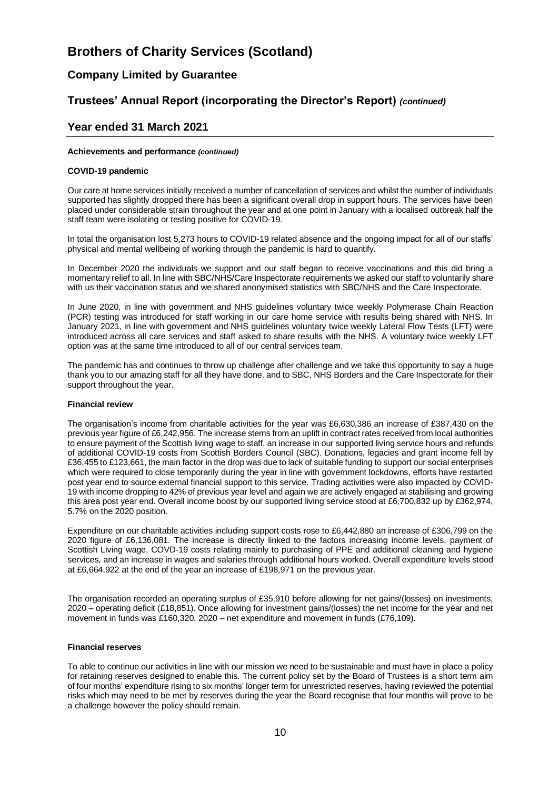# **Company Limited by Guarantee**

# **Trustees' Annual Report (incorporating the Director's Report)** *(continued)*

## **Year ended 31 March 2021**

#### **Achievements and performance** *(continued)*

#### **COVID-19 pandemic**

Our care at home services initially received a number of cancellation of services and whilst the number of individuals supported has slightly dropped there has been a significant overall drop in support hours. The services have been placed under considerable strain throughout the year and at one point in January with a localised outbreak half the staff team were isolating or testing positive for COVID-19.

In total the organisation lost 5,273 hours to COVID-19 related absence and the ongoing impact for all of our staffs' physical and mental wellbeing of working through the pandemic is hard to quantify.

In December 2020 the individuals we support and our staff began to receive vaccinations and this did bring a momentary relief to all. In line with SBC/NHS/Care Inspectorate requirements we asked our staff to voluntarily share with us their vaccination status and we shared anonymised statistics with SBC/NHS and the Care Inspectorate.

In June 2020, in line with government and NHS guidelines voluntary twice weekly Polymerase Chain Reaction (PCR) testing was introduced for staff working in our care home service with results being shared with NHS. In January 2021, in line with government and NHS guidelines voluntary twice weekly Lateral Flow Tests (LFT) were introduced across all care services and staff asked to share results with the NHS. A voluntary twice weekly LFT option was at the same time introduced to all of our central services team.

The pandemic has and continues to throw up challenge after challenge and we take this opportunity to say a huge thank you to our amazing staff for all they have done, and to SBC, NHS Borders and the Care Inspectorate for their support throughout the year.

#### **Financial review**

The organisation's income from charitable activities for the year was £6,630,386 an increase of £387,430 on the previous year figure of £6,242,956. The increase stems from an uplift in contract rates received from local authorities to ensure payment of the Scottish living wage to staff, an increase in our supported living service hours and refunds of additional COVID-19 costs from Scottish Borders Council (SBC). Donations, legacies and grant income fell by £36,455 to £123,661, the main factor in the drop was due to lack of suitable funding to support our social enterprises which were required to close temporarily during the year in line with government lockdowns, efforts have restarted post year end to source external financial support to this service. Trading activities were also impacted by COVID-19 with income dropping to 42% of previous year level and again we are actively engaged at stabilising and growing this area post year end. Overall income boost by our supported living service stood at £6,700,832 up by £362,974, 5.7% on the 2020 position.

Expenditure on our charitable activities including support costs rose to £6,442,880 an increase of £306,799 on the 2020 figure of £6,136,081. The increase is directly linked to the factors increasing income levels, payment of Scottish Living wage, COVD-19 costs relating mainly to purchasing of PPE and additional cleaning and hygiene services, and an increase in wages and salaries through additional hours worked. Overall expenditure levels stood at £6,664,922 at the end of the year an increase of £198,971 on the previous year.

The organisation recorded an operating surplus of £35,910 before allowing for net gains/(losses) on investments, 2020 – operating deficit (£18,851). Once allowing for investment gains/(losses) the net income for the year and net movement in funds was £160,320, 2020 – net expenditure and movement in funds (£76,109).

#### **Financial reserves**

To able to continue our activities in line with our mission we need to be sustainable and must have in place a policy for retaining reserves designed to enable this. The current policy set by the Board of Trustees is a short term aim of four months' expenditure rising to six months' longer term for unrestricted reserves, having reviewed the potential risks which may need to be met by reserves during the year the Board recognise that four months will prove to be a challenge however the policy should remain.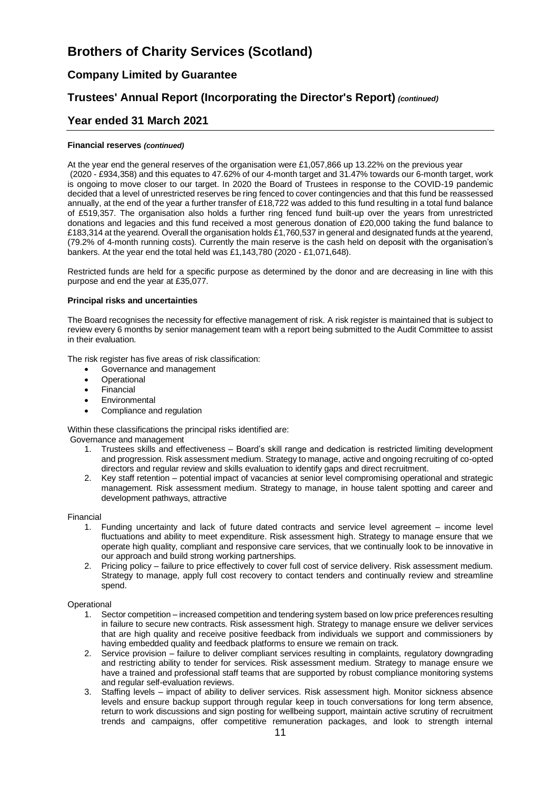# **Company Limited by Guarantee**

# **Trustees' Annual Report (Incorporating the Director's Report)** *(continued)*

### **Year ended 31 March 2021**

#### **Financial reserves** *(continued)*

At the year end the general reserves of the organisation were £1,057,866 up 13.22% on the previous year (2020 - £934,358) and this equates to 47.62% of our 4-month target and 31.47% towards our 6-month target, work is ongoing to move closer to our target. In 2020 the Board of Trustees in response to the COVID-19 pandemic decided that a level of unrestricted reserves be ring fenced to cover contingencies and that this fund be reassessed annually, at the end of the year a further transfer of £18,722 was added to this fund resulting in a total fund balance of £519,357. The organisation also holds a further ring fenced fund built-up over the years from unrestricted donations and legacies and this fund received a most generous donation of £20,000 taking the fund balance to £183,314 at the yearend. Overall the organisation holds £1,760,537 in general and designated funds at the yearend, (79.2% of 4-month running costs). Currently the main reserve is the cash held on deposit with the organisation's bankers. At the year end the total held was £1,143,780 (2020 - £1,071,648).

Restricted funds are held for a specific purpose as determined by the donor and are decreasing in line with this purpose and end the year at £35,077.

#### **Principal risks and uncertainties**

The Board recognises the necessity for effective management of risk. A risk register is maintained that is subject to review every 6 months by senior management team with a report being submitted to the Audit Committee to assist in their evaluation.

The risk register has five areas of risk classification:

- Governance and management
- Operational
- Financial
- **Environmental**
- Compliance and regulation

Within these classifications the principal risks identified are:

Governance and management

- 1. Trustees skills and effectiveness Board's skill range and dedication is restricted limiting development and progression. Risk assessment medium. Strategy to manage, active and ongoing recruiting of co-opted directors and regular review and skills evaluation to identify gaps and direct recruitment.
- 2. Key staff retention potential impact of vacancies at senior level compromising operational and strategic management. Risk assessment medium. Strategy to manage, in house talent spotting and career and development pathways, attractive

#### Financial

- 1. Funding uncertainty and lack of future dated contracts and service level agreement income level fluctuations and ability to meet expenditure. Risk assessment high. Strategy to manage ensure that we operate high quality, compliant and responsive care services, that we continually look to be innovative in our approach and build strong working partnerships.
- 2. Pricing policy failure to price effectively to cover full cost of service delivery. Risk assessment medium. Strategy to manage, apply full cost recovery to contact tenders and continually review and streamline spend.

#### **Operational**

- 1. Sector competition increased competition and tendering system based on low price preferences resulting in failure to secure new contracts. Risk assessment high. Strategy to manage ensure we deliver services that are high quality and receive positive feedback from individuals we support and commissioners by having embedded quality and feedback platforms to ensure we remain on track.
- 2. Service provision failure to deliver compliant services resulting in complaints, regulatory downgrading and restricting ability to tender for services. Risk assessment medium. Strategy to manage ensure we have a trained and professional staff teams that are supported by robust compliance monitoring systems and regular self-evaluation reviews.
- 3. Staffing levels impact of ability to deliver services. Risk assessment high. Monitor sickness absence levels and ensure backup support through regular keep in touch conversations for long term absence, return to work discussions and sign posting for wellbeing support, maintain active scrutiny of recruitment trends and campaigns, offer competitive remuneration packages, and look to strength internal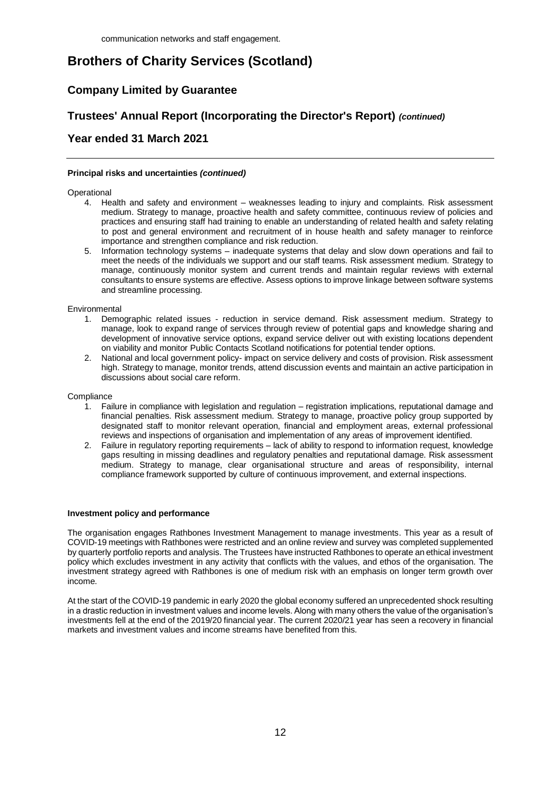# **Company Limited by Guarantee**

# **Trustees' Annual Report (Incorporating the Director's Report)** *(continued)*

# **Year ended 31 March 2021**

#### **Principal risks and uncertainties** *(continued)*

#### **Operational**

- 4. Health and safety and environment weaknesses leading to injury and complaints. Risk assessment medium. Strategy to manage, proactive health and safety committee, continuous review of policies and practices and ensuring staff had training to enable an understanding of related health and safety relating to post and general environment and recruitment of in house health and safety manager to reinforce importance and strengthen compliance and risk reduction.
- 5. Information technology systems inadequate systems that delay and slow down operations and fail to meet the needs of the individuals we support and our staff teams. Risk assessment medium. Strategy to manage, continuously monitor system and current trends and maintain regular reviews with external consultants to ensure systems are effective. Assess options to improve linkage between software systems and streamline processing.

#### **Environmental**

- 1. Demographic related issues reduction in service demand. Risk assessment medium. Strategy to manage, look to expand range of services through review of potential gaps and knowledge sharing and development of innovative service options, expand service deliver out with existing locations dependent on viability and monitor Public Contacts Scotland notifications for potential tender options.
- 2. National and local government policy- impact on service delivery and costs of provision. Risk assessment high. Strategy to manage, monitor trends, attend discussion events and maintain an active participation in discussions about social care reform.

#### **Compliance**

- 1. Failure in compliance with legislation and regulation registration implications, reputational damage and financial penalties. Risk assessment medium. Strategy to manage, proactive policy group supported by designated staff to monitor relevant operation, financial and employment areas, external professional reviews and inspections of organisation and implementation of any areas of improvement identified.
- 2. Failure in regulatory reporting requirements lack of ability to respond to information request, knowledge gaps resulting in missing deadlines and regulatory penalties and reputational damage. Risk assessment medium. Strategy to manage, clear organisational structure and areas of responsibility, internal compliance framework supported by culture of continuous improvement, and external inspections.

#### **Investment policy and performance**

The organisation engages Rathbones Investment Management to manage investments. This year as a result of COVID-19 meetings with Rathbones were restricted and an online review and survey was completed supplemented by quarterly portfolio reports and analysis. The Trustees have instructed Rathbones to operate an ethical investment policy which excludes investment in any activity that conflicts with the values, and ethos of the organisation. The investment strategy agreed with Rathbones is one of medium risk with an emphasis on longer term growth over income.

At the start of the COVID-19 pandemic in early 2020 the global economy suffered an unprecedented shock resulting in a drastic reduction in investment values and income levels. Along with many others the value of the organisation's investments fell at the end of the 2019/20 financial year. The current 2020/21 year has seen a recovery in financial markets and investment values and income streams have benefited from this.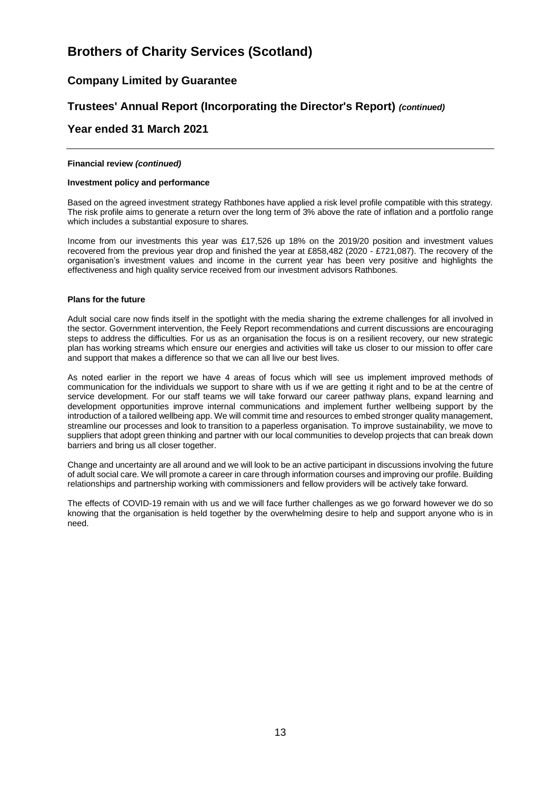# **Company Limited by Guarantee**

# **Trustees' Annual Report (Incorporating the Director's Report)** *(continued)*

## **Year ended 31 March 2021**

#### **Financial review** *(continued)*

#### **Investment policy and performance**

Based on the agreed investment strategy Rathbones have applied a risk level profile compatible with this strategy. The risk profile aims to generate a return over the long term of 3% above the rate of inflation and a portfolio range which includes a substantial exposure to shares.

Income from our investments this year was £17,526 up 18% on the 2019/20 position and investment values recovered from the previous year drop and finished the year at £858,482 (2020 - £721,087). The recovery of the organisation's investment values and income in the current year has been very positive and highlights the effectiveness and high quality service received from our investment advisors Rathbones.

#### **Plans for the future**

Adult social care now finds itself in the spotlight with the media sharing the extreme challenges for all involved in the sector. Government intervention, the Feely Report recommendations and current discussions are encouraging steps to address the difficulties. For us as an organisation the focus is on a resilient recovery, our new strategic plan has working streams which ensure our energies and activities will take us closer to our mission to offer care and support that makes a difference so that we can all live our best lives.

As noted earlier in the report we have 4 areas of focus which will see us implement improved methods of communication for the individuals we support to share with us if we are getting it right and to be at the centre of service development. For our staff teams we will take forward our career pathway plans, expand learning and development opportunities improve internal communications and implement further wellbeing support by the introduction of a tailored wellbeing app. We will commit time and resources to embed stronger quality management, streamline our processes and look to transition to a paperless organisation. To improve sustainability, we move to suppliers that adopt green thinking and partner with our local communities to develop projects that can break down barriers and bring us all closer together.

Change and uncertainty are all around and we will look to be an active participant in discussions involving the future of adult social care. We will promote a career in care through information courses and improving our profile. Building relationships and partnership working with commissioners and fellow providers will be actively take forward.

The effects of COVID-19 remain with us and we will face further challenges as we go forward however we do so knowing that the organisation is held together by the overwhelming desire to help and support anyone who is in need.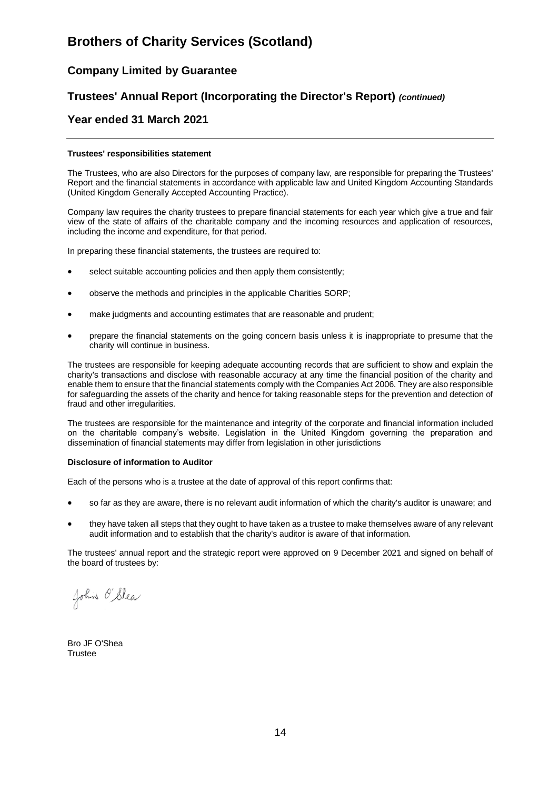# **Company Limited by Guarantee**

# **Trustees' Annual Report (Incorporating the Director's Report)** *(continued)*

### **Year ended 31 March 2021**

#### **Trustees' responsibilities statement**

The Trustees, who are also Directors for the purposes of company law, are responsible for preparing the Trustees' Report and the financial statements in accordance with applicable law and United Kingdom Accounting Standards (United Kingdom Generally Accepted Accounting Practice).

Company law requires the charity trustees to prepare financial statements for each year which give a true and fair view of the state of affairs of the charitable company and the incoming resources and application of resources, including the income and expenditure, for that period.

In preparing these financial statements, the trustees are required to:

- select suitable accounting policies and then apply them consistently;
- observe the methods and principles in the applicable Charities SORP;
- make judgments and accounting estimates that are reasonable and prudent;
- prepare the financial statements on the going concern basis unless it is inappropriate to presume that the charity will continue in business.

The trustees are responsible for keeping adequate accounting records that are sufficient to show and explain the charity's transactions and disclose with reasonable accuracy at any time the financial position of the charity and enable them to ensure that the financial statements comply with the Companies Act 2006. They are also responsible for safeguarding the assets of the charity and hence for taking reasonable steps for the prevention and detection of fraud and other irregularities.

The trustees are responsible for the maintenance and integrity of the corporate and financial information included on the charitable company's website. Legislation in the United Kingdom governing the preparation and dissemination of financial statements may differ from legislation in other jurisdictions

#### **Disclosure of information to Auditor**

Each of the persons who is a trustee at the date of approval of this report confirms that:

- so far as they are aware, there is no relevant audit information of which the charity's auditor is unaware; and
- they have taken all steps that they ought to have taken as a trustee to make themselves aware of any relevant audit information and to establish that the charity's auditor is aware of that information.

The trustees' annual report and the strategic report were approved on 9 December 2021 and signed on behalf of the board of trustees by:

John O'Slea

Bro JF O'Shea **Trustee**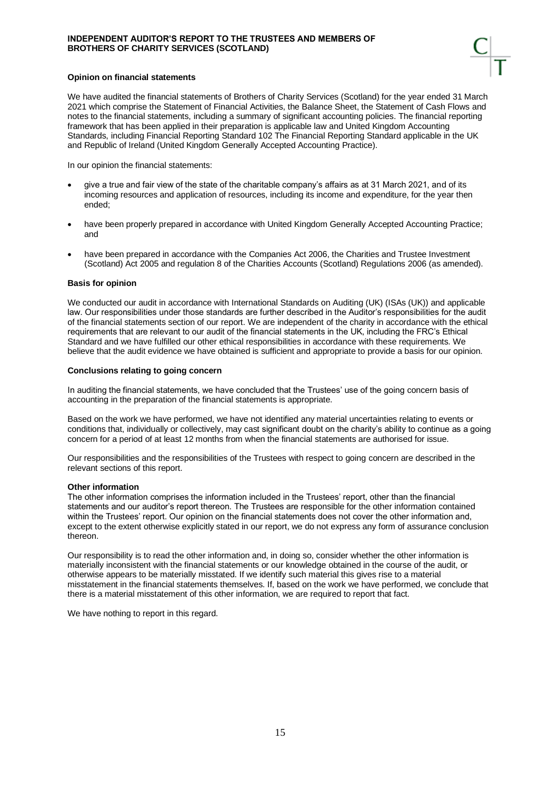#### **INDEPENDENT AUDITOR'S REPORT TO THE TRUSTEES AND MEMBERS OF BROTHERS OF CHARITY SERVICES (SCOTLAND)**

#### **Opinion on financial statements**

We have audited the financial statements of Brothers of Charity Services (Scotland) for the year ended 31 March 2021 which comprise the Statement of Financial Activities, the Balance Sheet, the Statement of Cash Flows and notes to the financial statements, including a summary of significant accounting policies. The financial reporting framework that has been applied in their preparation is applicable law and United Kingdom Accounting Standards, including Financial Reporting Standard 102 The Financial Reporting Standard applicable in the UK and Republic of Ireland (United Kingdom Generally Accepted Accounting Practice).

In our opinion the financial statements:

- give a true and fair view of the state of the charitable company's affairs as at 31 March 2021. and of its incoming resources and application of resources, including its income and expenditure, for the year then ended;
- have been properly prepared in accordance with United Kingdom Generally Accepted Accounting Practice; and
- have been prepared in accordance with the Companies Act 2006, the Charities and Trustee Investment (Scotland) Act 2005 and regulation 8 of the Charities Accounts (Scotland) Regulations 2006 (as amended).

#### **Basis for opinion**

We conducted our audit in accordance with International Standards on Auditing (UK) (ISAs (UK)) and applicable law. Our responsibilities under those standards are further described in the Auditor's responsibilities for the audit of the financial statements section of our report. We are independent of the charity in accordance with the ethical requirements that are relevant to our audit of the financial statements in the UK, including the FRC's Ethical Standard and we have fulfilled our other ethical responsibilities in accordance with these requirements. We believe that the audit evidence we have obtained is sufficient and appropriate to provide a basis for our opinion.

#### **Conclusions relating to going concern**

In auditing the financial statements, we have concluded that the Trustees' use of the going concern basis of accounting in the preparation of the financial statements is appropriate.

Based on the work we have performed, we have not identified any material uncertainties relating to events or conditions that, individually or collectively, may cast significant doubt on the charity's ability to continue as a going concern for a period of at least 12 months from when the financial statements are authorised for issue.

Our responsibilities and the responsibilities of the Trustees with respect to going concern are described in the relevant sections of this report.

#### **Other information**

The other information comprises the information included in the Trustees' report, other than the financial statements and our auditor's report thereon. The Trustees are responsible for the other information contained within the Trustees' report. Our opinion on the financial statements does not cover the other information and, except to the extent otherwise explicitly stated in our report, we do not express any form of assurance conclusion thereon.

Our responsibility is to read the other information and, in doing so, consider whether the other information is materially inconsistent with the financial statements or our knowledge obtained in the course of the audit, or otherwise appears to be materially misstated. If we identify such material this gives rise to a material misstatement in the financial statements themselves. If, based on the work we have performed, we conclude that there is a material misstatement of this other information, we are required to report that fact.

We have nothing to report in this regard.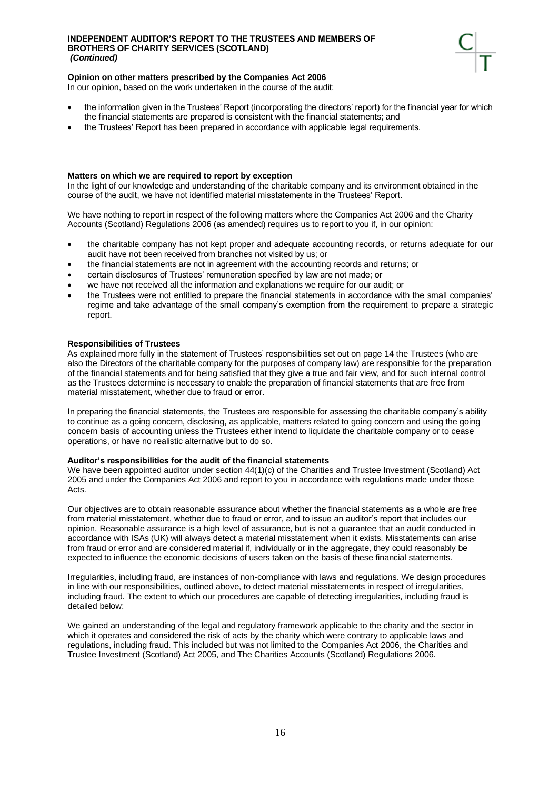#### **INDEPENDENT AUDITOR'S REPORT TO THE TRUSTEES AND MEMBERS OF BROTHERS OF CHARITY SERVICES (SCOTLAND)** *(Continued)*



#### **Opinion on other matters prescribed by the Companies Act 2006**

In our opinion, based on the work undertaken in the course of the audit:

- the information given in the Trustees' Report (incorporating the directors' report) for the financial year for which the financial statements are prepared is consistent with the financial statements; and
- the Trustees' Report has been prepared in accordance with applicable legal requirements.

#### **Matters on which we are required to report by exception**

In the light of our knowledge and understanding of the charitable company and its environment obtained in the course of the audit, we have not identified material misstatements in the Trustees' Report.

We have nothing to report in respect of the following matters where the Companies Act 2006 and the Charity Accounts (Scotland) Regulations 2006 (as amended) requires us to report to you if, in our opinion:

- the charitable company has not kept proper and adequate accounting records, or returns adequate for our audit have not been received from branches not visited by us; or
- the financial statements are not in agreement with the accounting records and returns; or
- certain disclosures of Trustees' remuneration specified by law are not made; or
- we have not received all the information and explanations we require for our audit; or
- the Trustees were not entitled to prepare the financial statements in accordance with the small companies' regime and take advantage of the small company's exemption from the requirement to prepare a strategic report.

#### **Responsibilities of Trustees**

As explained more fully in the statement of Trustees' responsibilities set out on page 14 the Trustees (who are also the Directors of the charitable company for the purposes of company law) are responsible for the preparation of the financial statements and for being satisfied that they give a true and fair view, and for such internal control as the Trustees determine is necessary to enable the preparation of financial statements that are free from material misstatement, whether due to fraud or error.

In preparing the financial statements, the Trustees are responsible for assessing the charitable company's ability to continue as a going concern, disclosing, as applicable, matters related to going concern and using the going concern basis of accounting unless the Trustees either intend to liquidate the charitable company or to cease operations, or have no realistic alternative but to do so.

#### **Auditor's responsibilities for the audit of the financial statements**

We have been appointed auditor under section 44(1)(c) of the Charities and Trustee Investment (Scotland) Act 2005 and under the Companies Act 2006 and report to you in accordance with regulations made under those Acts.

Our objectives are to obtain reasonable assurance about whether the financial statements as a whole are free from material misstatement, whether due to fraud or error, and to issue an auditor's report that includes our opinion. Reasonable assurance is a high level of assurance, but is not a guarantee that an audit conducted in accordance with ISAs (UK) will always detect a material misstatement when it exists. Misstatements can arise from fraud or error and are considered material if, individually or in the aggregate, they could reasonably be expected to influence the economic decisions of users taken on the basis of these financial statements.

Irregularities, including fraud, are instances of non-compliance with laws and regulations. We design procedures in line with our responsibilities, outlined above, to detect material misstatements in respect of irregularities, including fraud. The extent to which our procedures are capable of detecting irregularities, including fraud is detailed below:

We gained an understanding of the legal and regulatory framework applicable to the charity and the sector in which it operates and considered the risk of acts by the charity which were contrary to applicable laws and regulations, including fraud. This included but was not limited to the Companies Act 2006, the Charities and Trustee Investment (Scotland) Act 2005, and The Charities Accounts (Scotland) Regulations 2006.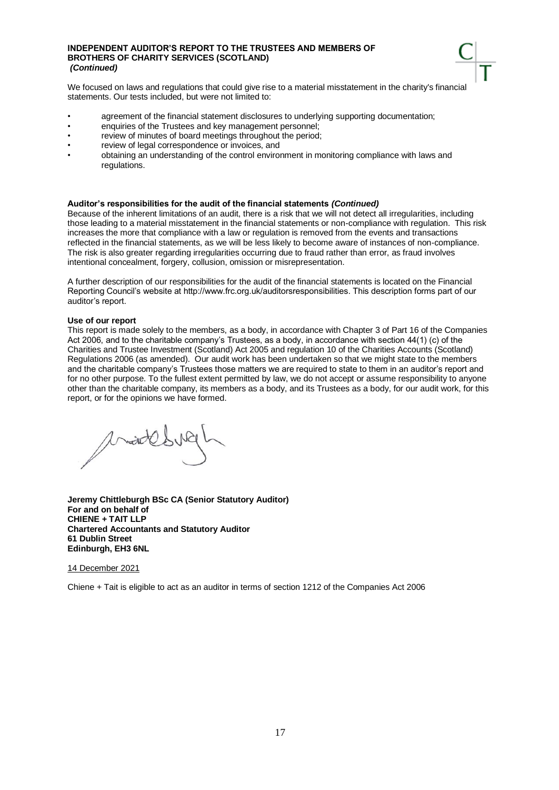#### **INDEPENDENT AUDITOR'S REPORT TO THE TRUSTEES AND MEMBERS OF BROTHERS OF CHARITY SERVICES (SCOTLAND)** *(Continued)*

We focused on laws and regulations that could give rise to a material misstatement in the charity's financial statements. Our tests included, but were not limited to:

- agreement of the financial statement disclosures to underlying supporting documentation;
- enquiries of the Trustees and key management personnel;
- review of minutes of board meetings throughout the period;
- review of legal correspondence or invoices, and
- obtaining an understanding of the control environment in monitoring compliance with laws and regulations.

#### **Auditor's responsibilities for the audit of the financial statements** *(Continued)*

Because of the inherent limitations of an audit, there is a risk that we will not detect all irregularities, including those leading to a material misstatement in the financial statements or non-compliance with regulation. This risk increases the more that compliance with a law or regulation is removed from the events and transactions reflected in the financial statements, as we will be less likely to become aware of instances of non-compliance. The risk is also greater regarding irregularities occurring due to fraud rather than error, as fraud involves intentional concealment, forgery, collusion, omission or misrepresentation.

A further description of our responsibilities for the audit of the financial statements is located on the Financial Reporting Council's website at http://www.frc.org.uk/auditorsresponsibilities. This description forms part of our auditor's report.

#### **Use of our report**

This report is made solely to the members, as a body, in accordance with Chapter 3 of Part 16 of the Companies Act 2006, and to the charitable company's Trustees, as a body, in accordance with section 44(1) (c) of the Charities and Trustee Investment (Scotland) Act 2005 and regulation 10 of the Charities Accounts (Scotland) Regulations 2006 (as amended). Our audit work has been undertaken so that we might state to the members and the charitable company's Trustees those matters we are required to state to them in an auditor's report and for no other purpose. To the fullest extent permitted by law, we do not accept or assume responsibility to anyone other than the charitable company, its members as a body, and its Trustees as a body, for our audit work, for this report, or for the opinions we have formed.

with

**Jeremy Chittleburgh BSc CA (Senior Statutory Auditor) For and on behalf of CHIENE + TAIT LLP Chartered Accountants and Statutory Auditor 61 Dublin Street Edinburgh, EH3 6NL**

#### 14 December 2021

Chiene + Tait is eligible to act as an auditor in terms of section 1212 of the Companies Act 2006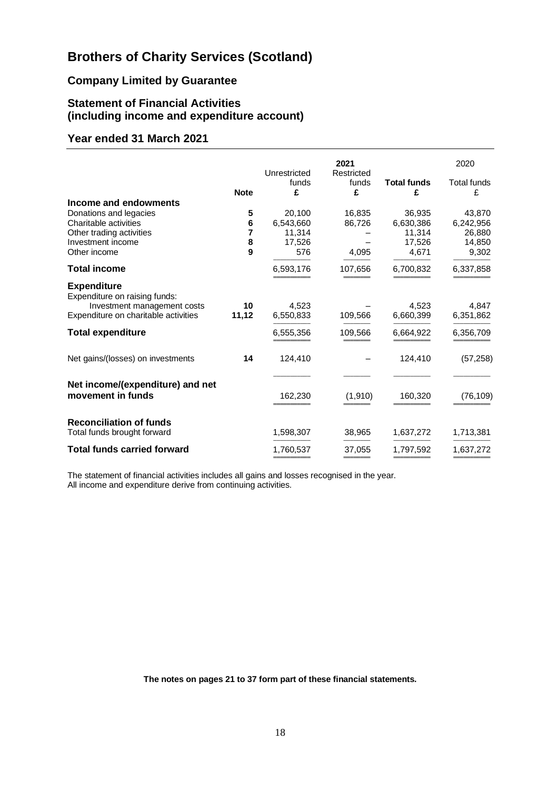# **Company Limited by Guarantee**

# **Statement of Financial Activities (including income and expenditure account)**

# **Year ended 31 March 2021**

|                                                                     |             |                            | 2021                     |                         | 2020                    |
|---------------------------------------------------------------------|-------------|----------------------------|--------------------------|-------------------------|-------------------------|
|                                                                     | <b>Note</b> | Unrestricted<br>funds<br>£ | Restricted<br>funds<br>£ | <b>Total funds</b><br>£ | <b>Total funds</b><br>£ |
| Income and endowments                                               |             |                            |                          |                         |                         |
| Donations and legacies                                              | 5           | 20,100                     | 16,835                   | 36,935                  | 43,870                  |
| Charitable activities                                               | 6           | 6,543,660                  | 86,726                   | 6,630,386               | 6,242,956               |
| Other trading activities                                            | 7           | 11,314                     |                          | 11,314                  | 26,880                  |
| Investment income                                                   | 8           | 17,526                     |                          | 17,526                  | 14,850                  |
| Other income                                                        | 9           | 576                        | 4,095                    | 4,671                   | 9,302                   |
| <b>Total income</b>                                                 |             | 6,593,176                  | 107,656                  | 6,700,832               | 6,337,858               |
| <b>Expenditure</b><br>Expenditure on raising funds:                 |             |                            |                          |                         |                         |
| Investment management costs<br>Expenditure on charitable activities | 10<br>11,12 | 4,523<br>6,550,833         | 109,566                  | 4,523<br>6,660,399      | 4,847<br>6,351,862      |
| <b>Total expenditure</b>                                            |             | 6,555,356                  | 109,566                  | 6,664,922               | 6,356,709               |
| Net gains/(losses) on investments                                   | 14          | 124,410                    |                          | 124,410                 | (57, 258)               |
|                                                                     |             |                            |                          |                         |                         |
| Net income/(expenditure) and net<br>movement in funds               |             | 162,230                    | (1, 910)                 | 160,320                 | (76, 109)               |
| <b>Reconciliation of funds</b>                                      |             |                            |                          |                         |                         |
| Total funds brought forward                                         |             | 1,598,307                  | 38,965                   | 1,637,272               | 1,713,381               |
| <b>Total funds carried forward</b>                                  |             | 1,760,537                  | 37,055                   | 1,797,592               | 1,637,272               |

The statement of financial activities includes all gains and losses recognised in the year. All income and expenditure derive from continuing activities.

**The notes on pages 21 to 37 form part of these financial statements.**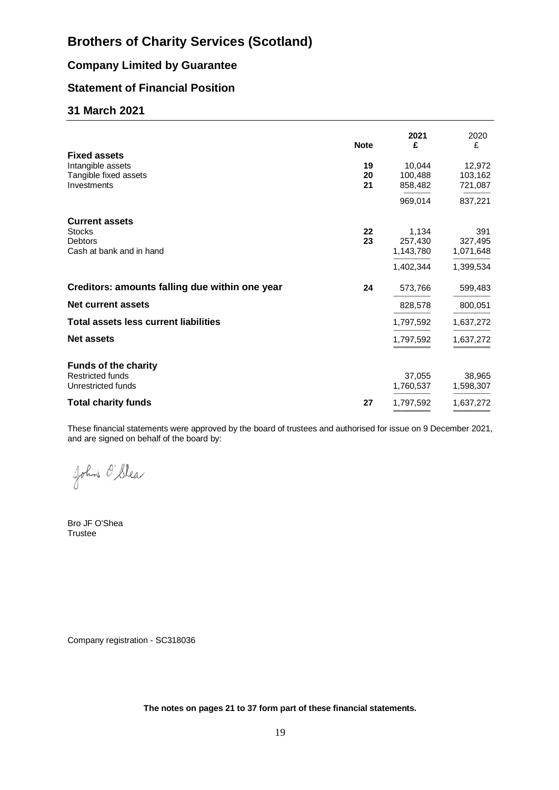# **Company Limited by Guarantee**

# **Statement of Financial Position**

# **31 March 2021**

|                                                                                      | <b>Note</b>    | 2021<br>£                                  | 2020<br>£                                |
|--------------------------------------------------------------------------------------|----------------|--------------------------------------------|------------------------------------------|
| <b>Fixed assets</b><br>Intangible assets<br>Tangible fixed assets<br>Investments     | 19<br>20<br>21 | 10.044<br>100,488<br>858,482               | 12,972<br>103,162<br>721,087             |
|                                                                                      |                | 969,014                                    | 837,221                                  |
| <b>Current assets</b><br><b>Stocks</b><br><b>Debtors</b><br>Cash at bank and in hand | 22<br>23       | 1,134<br>257,430<br>1,143,780<br>1,402,344 | 391<br>327,495<br>1,071,648<br>1,399,534 |
| Creditors: amounts falling due within one year                                       | 24             | 573,766                                    | 599,483                                  |
| Net current assets                                                                   |                | 828,578                                    | 800,051                                  |
| <b>Total assets less current liabilities</b>                                         |                | 1,797,592                                  | 1,637,272                                |
| <b>Net assets</b>                                                                    |                | 1,797,592                                  | 1,637,272                                |
| <b>Funds of the charity</b><br><b>Restricted funds</b><br>Unrestricted funds         |                | 37,055<br>1,760,537                        | 38,965<br>1,598,307                      |
| <b>Total charity funds</b>                                                           | 27             | 1,797,592                                  | 1,637,272                                |

These financial statements were approved by the board of trustees and authorised for issue on 9 December 2021, and are signed on behalf of the board by:

John O'Slea

Bro JF O'Shea Trustee

Company registration - SC318036

**The notes on pages 21 to 37 form part of these financial statements.**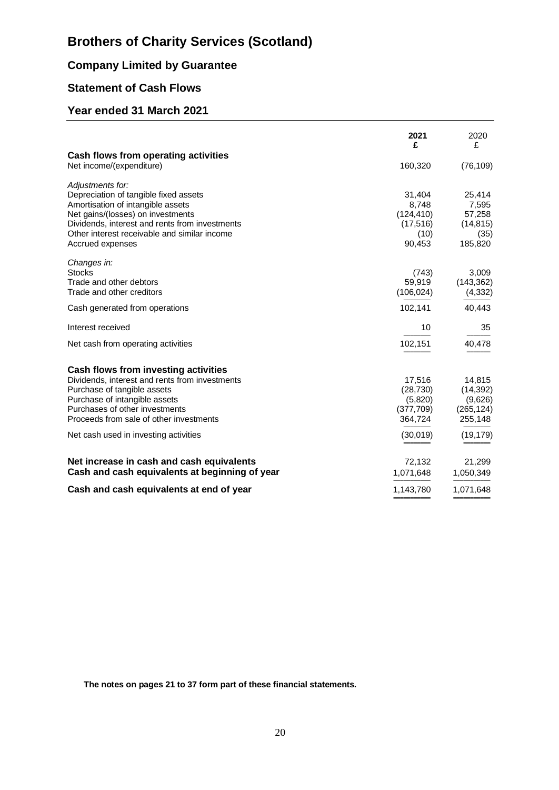# **Company Limited by Guarantee**

# **Statement of Cash Flows**

# **Year ended 31 March 2021**

|                                                | 2021<br>£  | 2020<br>£  |
|------------------------------------------------|------------|------------|
| Cash flows from operating activities           |            |            |
| Net income/(expenditure)                       | 160,320    | (76, 109)  |
| Adjustments for:                               |            |            |
| Depreciation of tangible fixed assets          | 31,404     | 25,414     |
| Amortisation of intangible assets              | 8,748      | 7,595      |
| Net gains/(losses) on investments              | (124, 410) | 57,258     |
| Dividends, interest and rents from investments | (17,516)   | (14, 815)  |
| Other interest receivable and similar income   | (10)       | (35)       |
| Accrued expenses                               | 90,453     | 185,820    |
| Changes in:                                    |            |            |
| <b>Stocks</b>                                  | (743)      | 3,009      |
| Trade and other debtors                        | 59,919     | (143, 362) |
| Trade and other creditors                      | (106, 024) | (4, 332)   |
| Cash generated from operations                 | 102,141    | 40,443     |
| Interest received                              | 10         | 35         |
| Net cash from operating activities             | 102,151    | 40,478     |
| Cash flows from investing activities           |            |            |
| Dividends, interest and rents from investments | 17,516     | 14,815     |
| Purchase of tangible assets                    | (28, 730)  | (14, 392)  |
| Purchase of intangible assets                  | (5,820)    | (9,626)    |
| Purchases of other investments                 | (377, 709) | (265, 124) |
| Proceeds from sale of other investments        | 364,724    | 255,148    |
| Net cash used in investing activities          | (30,019)   | (19, 179)  |
| Net increase in cash and cash equivalents      | 72,132     | 21,299     |
| Cash and cash equivalents at beginning of year | 1,071,648  | 1,050,349  |
| Cash and cash equivalents at end of year       | 1,143,780  | 1,071,648  |
|                                                |            |            |

**The notes on pages 21 to 37 form part of these financial statements.**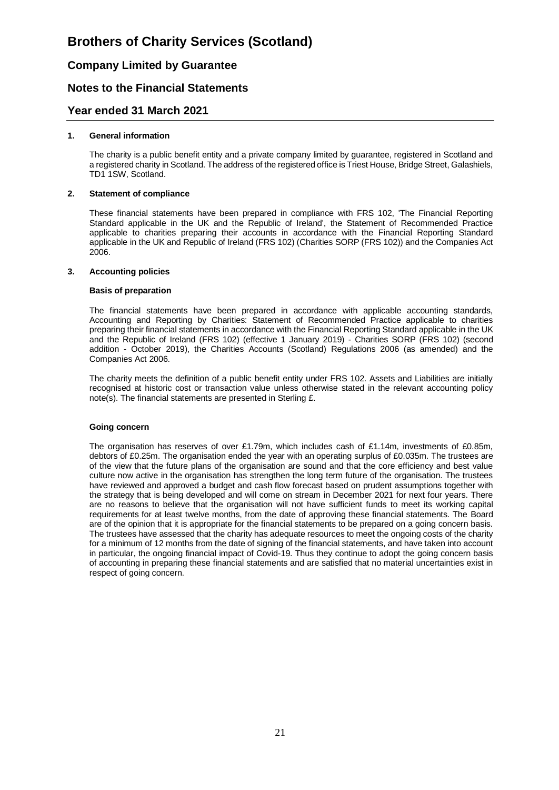# **Company Limited by Guarantee**

# **Notes to the Financial Statements**

### **Year ended 31 March 2021**

#### **1. General information**

The charity is a public benefit entity and a private company limited by guarantee, registered in Scotland and a registered charity in Scotland. The address of the registered office is Triest House, Bridge Street, Galashiels, TD1 1SW, Scotland.

#### **2. Statement of compliance**

These financial statements have been prepared in compliance with FRS 102, 'The Financial Reporting Standard applicable in the UK and the Republic of Ireland', the Statement of Recommended Practice applicable to charities preparing their accounts in accordance with the Financial Reporting Standard applicable in the UK and Republic of Ireland (FRS 102) (Charities SORP (FRS 102)) and the Companies Act 2006.

#### **3. Accounting policies**

#### **Basis of preparation**

The financial statements have been prepared in accordance with applicable accounting standards, Accounting and Reporting by Charities: Statement of Recommended Practice applicable to charities preparing their financial statements in accordance with the Financial Reporting Standard applicable in the UK and the Republic of Ireland (FRS 102) (effective 1 January 2019) - Charities SORP (FRS 102) (second addition - October 2019), the Charities Accounts (Scotland) Regulations 2006 (as amended) and the Companies Act 2006.

The charity meets the definition of a public benefit entity under FRS 102. Assets and Liabilities are initially recognised at historic cost or transaction value unless otherwise stated in the relevant accounting policy note(s). The financial statements are presented in Sterling £.

#### **Going concern**

The organisation has reserves of over £1.79m, which includes cash of £1.14m, investments of £0.85m, debtors of £0.25m. The organisation ended the year with an operating surplus of £0.035m. The trustees are of the view that the future plans of the organisation are sound and that the core efficiency and best value culture now active in the organisation has strengthen the long term future of the organisation. The trustees have reviewed and approved a budget and cash flow forecast based on prudent assumptions together with the strategy that is being developed and will come on stream in December 2021 for next four years. There are no reasons to believe that the organisation will not have sufficient funds to meet its working capital requirements for at least twelve months, from the date of approving these financial statements. The Board are of the opinion that it is appropriate for the financial statements to be prepared on a going concern basis. The trustees have assessed that the charity has adequate resources to meet the ongoing costs of the charity for a minimum of 12 months from the date of signing of the financial statements, and have taken into account in particular, the ongoing financial impact of Covid-19. Thus they continue to adopt the going concern basis of accounting in preparing these financial statements and are satisfied that no material uncertainties exist in respect of going concern.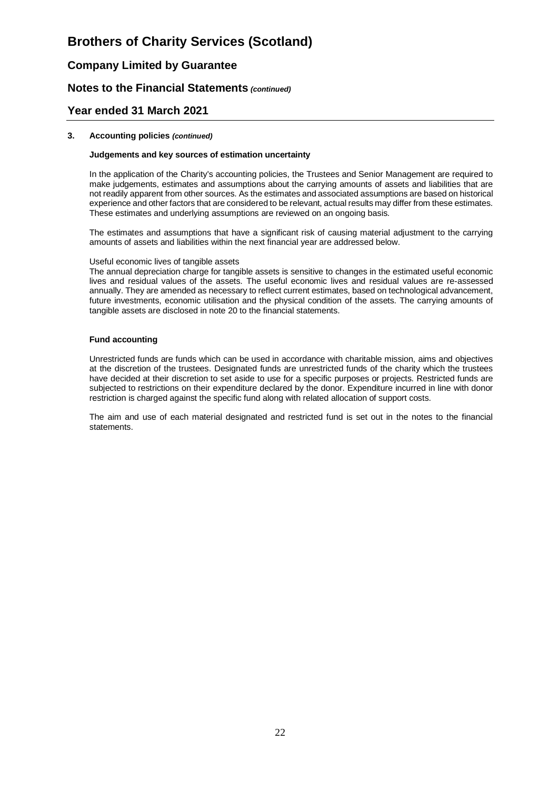# **Company Limited by Guarantee**

## **Notes to the Financial Statements** *(continued)*

### **Year ended 31 March 2021**

#### **3. Accounting policies** *(continued)*

#### **Judgements and key sources of estimation uncertainty**

In the application of the Charity's accounting policies, the Trustees and Senior Management are required to make judgements, estimates and assumptions about the carrying amounts of assets and liabilities that are not readily apparent from other sources. As the estimates and associated assumptions are based on historical experience and other factors that are considered to be relevant, actual results may differ from these estimates. These estimates and underlying assumptions are reviewed on an ongoing basis.

The estimates and assumptions that have a significant risk of causing material adjustment to the carrying amounts of assets and liabilities within the next financial year are addressed below.

#### Useful economic lives of tangible assets

The annual depreciation charge for tangible assets is sensitive to changes in the estimated useful economic lives and residual values of the assets. The useful economic lives and residual values are re-assessed annually. They are amended as necessary to reflect current estimates, based on technological advancement, future investments, economic utilisation and the physical condition of the assets. The carrying amounts of tangible assets are disclosed in note 20 to the financial statements.

#### **Fund accounting**

Unrestricted funds are funds which can be used in accordance with charitable mission, aims and objectives at the discretion of the trustees. Designated funds are unrestricted funds of the charity which the trustees have decided at their discretion to set aside to use for a specific purposes or projects. Restricted funds are subjected to restrictions on their expenditure declared by the donor. Expenditure incurred in line with donor restriction is charged against the specific fund along with related allocation of support costs.

The aim and use of each material designated and restricted fund is set out in the notes to the financial statements.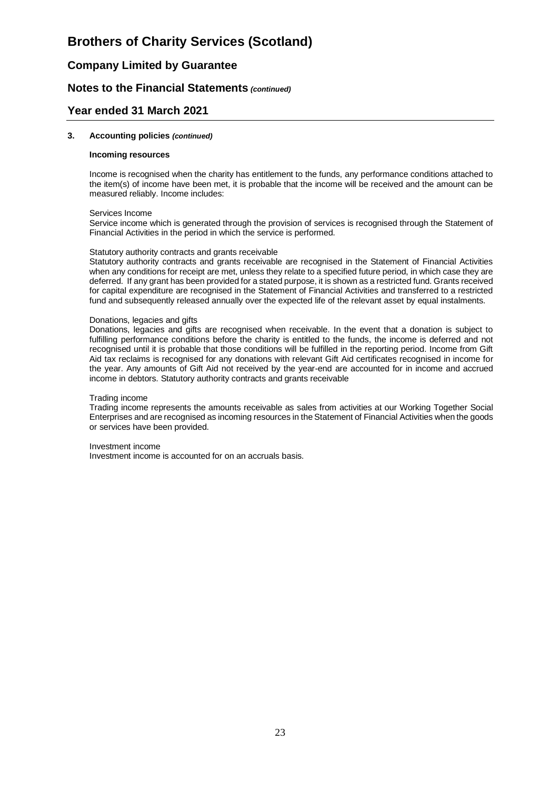## **Company Limited by Guarantee**

### **Notes to the Financial Statements** *(continued)*

### **Year ended 31 March 2021**

#### **3. Accounting policies** *(continued)*

#### **Incoming resources**

Income is recognised when the charity has entitlement to the funds, any performance conditions attached to the item(s) of income have been met, it is probable that the income will be received and the amount can be measured reliably. Income includes:

#### Services Income

Service income which is generated through the provision of services is recognised through the Statement of Financial Activities in the period in which the service is performed.

#### Statutory authority contracts and grants receivable

Statutory authority contracts and grants receivable are recognised in the Statement of Financial Activities when any conditions for receipt are met, unless they relate to a specified future period, in which case they are deferred. If any grant has been provided for a stated purpose, it is shown as a restricted fund. Grants received for capital expenditure are recognised in the Statement of Financial Activities and transferred to a restricted fund and subsequently released annually over the expected life of the relevant asset by equal instalments.

#### Donations, legacies and gifts

Donations, legacies and gifts are recognised when receivable. In the event that a donation is subject to fulfilling performance conditions before the charity is entitled to the funds, the income is deferred and not recognised until it is probable that those conditions will be fulfilled in the reporting period. Income from Gift Aid tax reclaims is recognised for any donations with relevant Gift Aid certificates recognised in income for the year. Any amounts of Gift Aid not received by the year-end are accounted for in income and accrued income in debtors. Statutory authority contracts and grants receivable

#### Trading income

Trading income represents the amounts receivable as sales from activities at our Working Together Social Enterprises and are recognised as incoming resources in the Statement of Financial Activities when the goods or services have been provided.

Investment income

Investment income is accounted for on an accruals basis.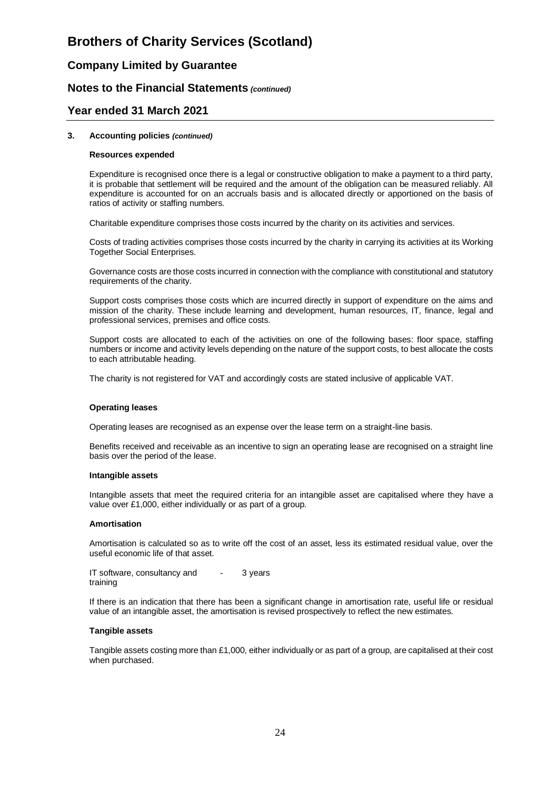## **Company Limited by Guarantee**

### **Notes to the Financial Statements** *(continued)*

### **Year ended 31 March 2021**

#### **3. Accounting policies** *(continued)*

#### **Resources expended**

Expenditure is recognised once there is a legal or constructive obligation to make a payment to a third party, it is probable that settlement will be required and the amount of the obligation can be measured reliably. All expenditure is accounted for on an accruals basis and is allocated directly or apportioned on the basis of ratios of activity or staffing numbers.

Charitable expenditure comprises those costs incurred by the charity on its activities and services.

Costs of trading activities comprises those costs incurred by the charity in carrying its activities at its Working Together Social Enterprises.

Governance costs are those costs incurred in connection with the compliance with constitutional and statutory requirements of the charity.

Support costs comprises those costs which are incurred directly in support of expenditure on the aims and mission of the charity. These include learning and development, human resources, IT, finance, legal and professional services, premises and office costs.

Support costs are allocated to each of the activities on one of the following bases: floor space, staffing numbers or income and activity levels depending on the nature of the support costs, to best allocate the costs to each attributable heading.

The charity is not registered for VAT and accordingly costs are stated inclusive of applicable VAT.

#### **Operating leases**

Operating leases are recognised as an expense over the lease term on a straight-line basis.

Benefits received and receivable as an incentive to sign an operating lease are recognised on a straight line basis over the period of the lease.

#### **Intangible assets**

Intangible assets that meet the required criteria for an intangible asset are capitalised where they have a value over £1,000, either individually or as part of a group.

#### **Amortisation**

Amortisation is calculated so as to write off the cost of an asset, less its estimated residual value, over the useful economic life of that asset.

IT software, consultancy and training 3 years

If there is an indication that there has been a significant change in amortisation rate, useful life or residual value of an intangible asset, the amortisation is revised prospectively to reflect the new estimates.

#### **Tangible assets**

Tangible assets costing more than £1,000, either individually or as part of a group, are capitalised at their cost when purchased.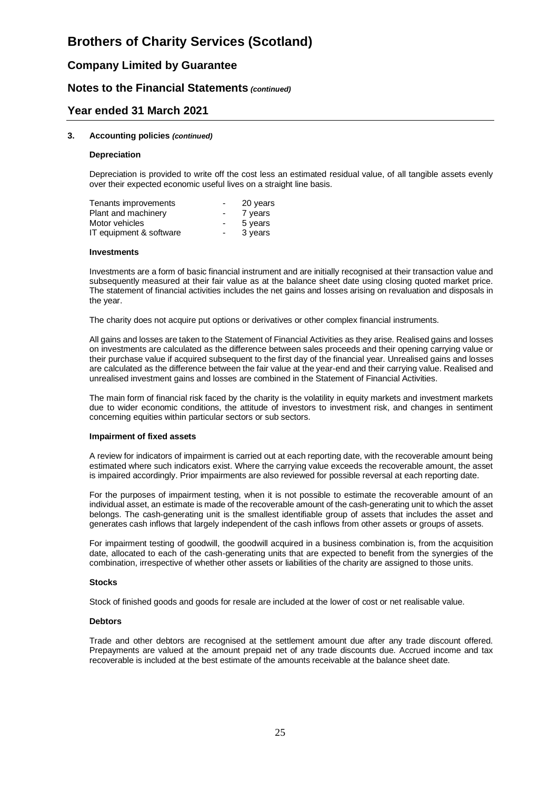## **Company Limited by Guarantee**

### **Notes to the Financial Statements** *(continued)*

### **Year ended 31 March 2021**

#### **3. Accounting policies** *(continued)*

#### **Depreciation**

Depreciation is provided to write off the cost less an estimated residual value, of all tangible assets evenly over their expected economic useful lives on a straight line basis.

| Tenants improvements    | $\overline{\phantom{0}}$ | 20 years |
|-------------------------|--------------------------|----------|
| Plant and machinery     | $\sim$                   | 7 years  |
| Motor vehicles          | $\blacksquare$           | 5 years  |
| IT equipment & software | $\sim$                   | 3 years  |

#### **Investments**

Investments are a form of basic financial instrument and are initially recognised at their transaction value and subsequently measured at their fair value as at the balance sheet date using closing quoted market price. The statement of financial activities includes the net gains and losses arising on revaluation and disposals in the year.

The charity does not acquire put options or derivatives or other complex financial instruments.

All gains and losses are taken to the Statement of Financial Activities as they arise. Realised gains and losses on investments are calculated as the difference between sales proceeds and their opening carrying value or their purchase value if acquired subsequent to the first day of the financial year. Unrealised gains and losses are calculated as the difference between the fair value at the year-end and their carrying value. Realised and unrealised investment gains and losses are combined in the Statement of Financial Activities.

The main form of financial risk faced by the charity is the volatility in equity markets and investment markets due to wider economic conditions, the attitude of investors to investment risk, and changes in sentiment concerning equities within particular sectors or sub sectors.

#### **Impairment of fixed assets**

A review for indicators of impairment is carried out at each reporting date, with the recoverable amount being estimated where such indicators exist. Where the carrying value exceeds the recoverable amount, the asset is impaired accordingly. Prior impairments are also reviewed for possible reversal at each reporting date.

For the purposes of impairment testing, when it is not possible to estimate the recoverable amount of an individual asset, an estimate is made of the recoverable amount of the cash-generating unit to which the asset belongs. The cash-generating unit is the smallest identifiable group of assets that includes the asset and generates cash inflows that largely independent of the cash inflows from other assets or groups of assets.

For impairment testing of goodwill, the goodwill acquired in a business combination is, from the acquisition date, allocated to each of the cash-generating units that are expected to benefit from the synergies of the combination, irrespective of whether other assets or liabilities of the charity are assigned to those units.

#### **Stocks**

Stock of finished goods and goods for resale are included at the lower of cost or net realisable value.

#### **Debtors**

Trade and other debtors are recognised at the settlement amount due after any trade discount offered. Prepayments are valued at the amount prepaid net of any trade discounts due. Accrued income and tax recoverable is included at the best estimate of the amounts receivable at the balance sheet date.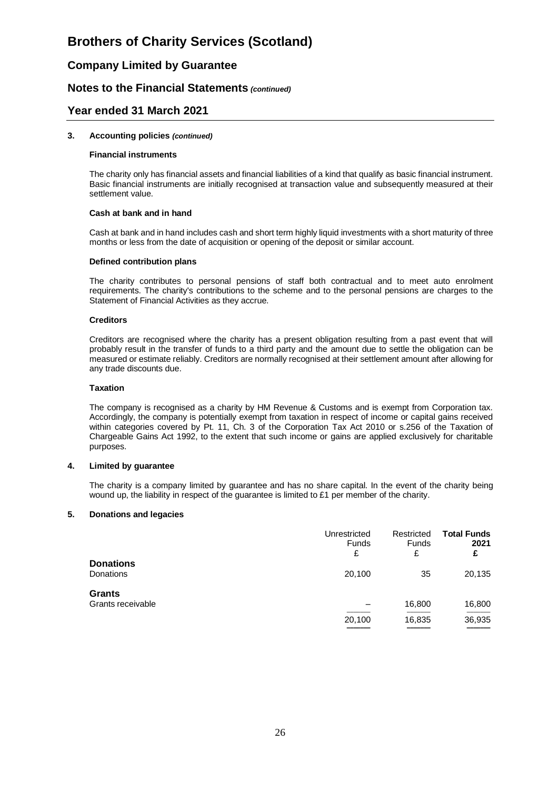## **Company Limited by Guarantee**

### **Notes to the Financial Statements** *(continued)*

### **Year ended 31 March 2021**

#### **3. Accounting policies** *(continued)*

#### **Financial instruments**

The charity only has financial assets and financial liabilities of a kind that qualify as basic financial instrument. Basic financial instruments are initially recognised at transaction value and subsequently measured at their settlement value.

#### **Cash at bank and in hand**

Cash at bank and in hand includes cash and short term highly liquid investments with a short maturity of three months or less from the date of acquisition or opening of the deposit or similar account.

#### **Defined contribution plans**

The charity contributes to personal pensions of staff both contractual and to meet auto enrolment requirements. The charity's contributions to the scheme and to the personal pensions are charges to the Statement of Financial Activities as they accrue.

#### **Creditors**

Creditors are recognised where the charity has a present obligation resulting from a past event that will probably result in the transfer of funds to a third party and the amount due to settle the obligation can be measured or estimate reliably. Creditors are normally recognised at their settlement amount after allowing for any trade discounts due.

#### **Taxation**

The company is recognised as a charity by HM Revenue & Customs and is exempt from Corporation tax. Accordingly, the company is potentially exempt from taxation in respect of income or capital gains received within categories covered by Pt. 11, Ch. 3 of the Corporation Tax Act 2010 or s.256 of the Taxation of Chargeable Gains Act 1992, to the extent that such income or gains are applied exclusively for charitable purposes.

#### **4. Limited by guarantee**

The charity is a company limited by guarantee and has no share capital. In the event of the charity being wound up, the liability in respect of the guarantee is limited to £1 per member of the charity.

#### **5. Donations and legacies**

|                                      | Unrestricted<br><b>Funds</b><br>£ | Restricted<br>Funds<br>£ | <b>Total Funds</b><br>2021<br>£ |
|--------------------------------------|-----------------------------------|--------------------------|---------------------------------|
| <b>Donations</b><br><b>Donations</b> | 20,100                            | 35                       | 20,135                          |
| <b>Grants</b><br>Grants receivable   | 20,100                            | 16,800<br>16,835         | 16,800<br>36,935<br>______      |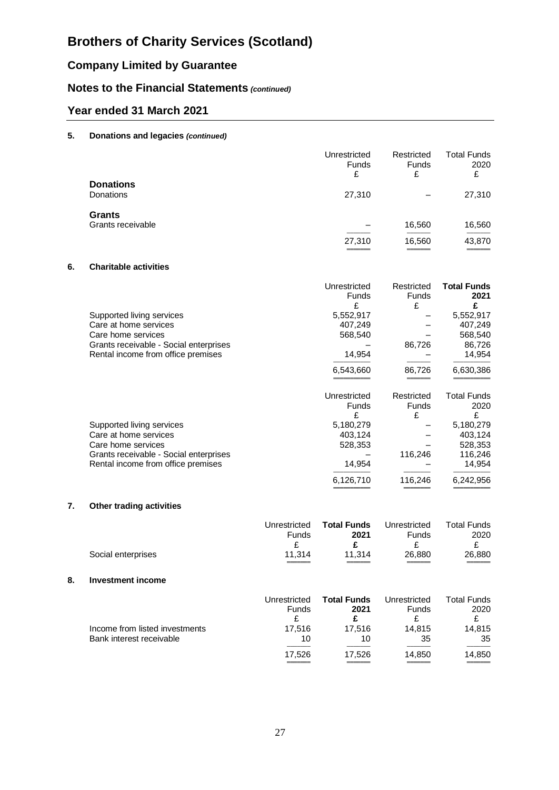# **Company Limited by Guarantee**

# **Notes to the Financial Statements** *(continued)*

# **Year ended 31 March 2021**

### **5. Donations and legacies** *(continued)*

|                                    | Unrestricted<br>Funds<br>£ | Restricted<br><b>Funds</b><br>£ | <b>Total Funds</b><br>2020<br>£ |
|------------------------------------|----------------------------|---------------------------------|---------------------------------|
| <b>Donations</b><br>Donations      | 27,310                     |                                 | 27,310                          |
| <b>Grants</b><br>Grants receivable | 27,310<br>_____            | 16,560<br>16,560                | 16,560<br>43,870<br>______      |

### **6. Charitable activities**

|                                        | Unrestricted<br>Funds | Restricted<br><b>Funds</b> | <b>Total Funds</b><br>2021 |
|----------------------------------------|-----------------------|----------------------------|----------------------------|
|                                        | £                     | £                          | £                          |
| Supported living services              | 5,552,917             |                            | 5,552,917                  |
| Care at home services                  | 407,249               |                            | 407,249                    |
| Care home services                     | 568,540               |                            | 568,540                    |
| Grants receivable - Social enterprises |                       | 86,726                     | 86,726                     |
| Rental income from office premises     | 14,954                |                            | 14,954                     |
|                                        | 6,543,660             | 86,726                     | 6,630,386                  |
|                                        | Unrestricted          | Restricted                 | <b>Total Funds</b>         |
|                                        | <b>Funds</b>          | Funds                      | 2020                       |
|                                        | £                     | £                          | £                          |
| Supported living services              | 5,180,279             |                            | 5,180,279                  |
| Care at home services                  | 403,124               |                            | 403,124                    |
| Care home services                     | 528,353               |                            | 528,353                    |
| Grants receivable - Social enterprises |                       | 116,246                    | 116,246                    |
| Rental income from office premises     | 14,954                |                            | 14,954                     |
|                                        |                       |                            |                            |

### **7. Other trading activities**

|                                                  | Unrestricted<br>Funds | <b>Total Funds</b><br>2021 | Unrestricted<br>Funds | <b>Total Funds</b><br>2020 |
|--------------------------------------------------|-----------------------|----------------------------|-----------------------|----------------------------|
|                                                  |                       |                            |                       |                            |
| 11.314<br>26,880<br>Social enterprises<br>11.314 |                       |                            |                       | 26,880<br>_____            |

6,126,710 116,246 6,242,956 ═══════════ ════════ ═══════════

#### **8. Investment income**

|                                | Unrestricted | <b>Total Funds</b> | Unrestricted | Total Funds |
|--------------------------------|--------------|--------------------|--------------|-------------|
|                                | <b>Funds</b> | 2021               | <b>Funds</b> | 2020        |
| Income from listed investments | 17.516       | 17.516             | 14.815       | 14.815      |
| Bank interest receivable       | 10           | 10                 | 35           | 35          |
|                                | 17.526       | 17.526             | 14.850       | 14,850      |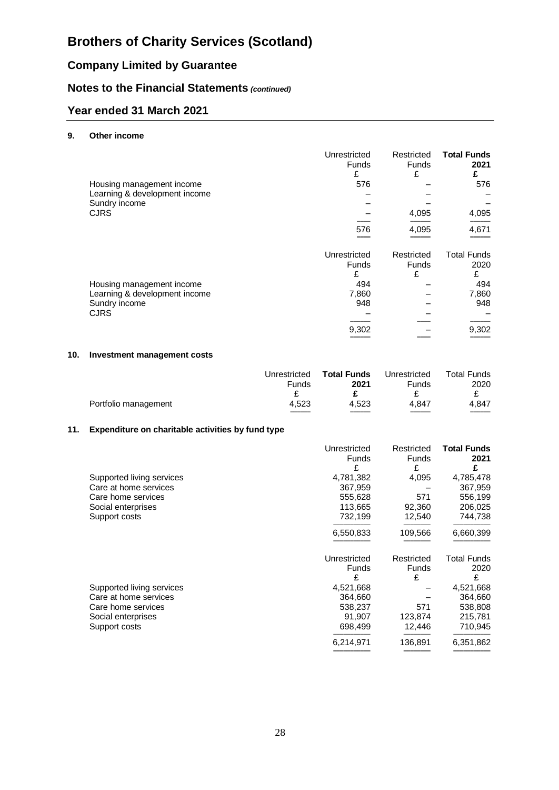# **Company Limited by Guarantee**

# **Notes to the Financial Statements** *(continued)*

# **Year ended 31 March 2021**

### **9. Other income**

|                               | Unrestricted<br><b>Funds</b><br>£ | Restricted<br><b>Funds</b><br>£ | <b>Total Funds</b><br>2021<br>£ |
|-------------------------------|-----------------------------------|---------------------------------|---------------------------------|
|                               | 576                               |                                 | 576                             |
| Housing management income     |                                   |                                 |                                 |
| Learning & development income |                                   |                                 |                                 |
| Sundry income                 |                                   |                                 |                                 |
| <b>CJRS</b>                   |                                   | 4,095                           | 4,095                           |
|                               | 576                               | 4,095                           | 4,671                           |
|                               |                                   |                                 |                                 |
|                               | Unrestricted                      | Restricted                      | <b>Total Funds</b>              |
|                               | <b>Funds</b>                      | <b>Funds</b>                    | 2020                            |
|                               | £                                 | £                               | £                               |
| Housing management income     | 494                               |                                 | 494                             |
| Learning & development income | 7,860                             |                                 | 7,860                           |
| Sundry income                 | 948                               |                                 | 948                             |
| <b>CJRS</b>                   |                                   |                                 |                                 |
|                               |                                   |                                 |                                 |
|                               | 9,302                             |                                 | 9,302                           |
|                               |                                   |                                 |                                 |

### **10. Investment management costs**

|                      | Unrestricted<br><b>Funds</b> | <b>Total Funds</b><br>2021 | Unrestricted<br>Funds | <b>Total Funds</b><br>2020 |
|----------------------|------------------------------|----------------------------|-----------------------|----------------------------|
|                      |                              |                            |                       |                            |
| Portfolio management | 4.523                        | 4.523                      | 4.847                 | 4.847                      |
|                      |                              |                            |                       |                            |

### **11. Expenditure on charitable activities by fund type**

|                           | Unrestricted | Restricted   | <b>Total Funds</b> |
|---------------------------|--------------|--------------|--------------------|
|                           | <b>Funds</b> | Funds        | 2021               |
|                           | £            | £            | £                  |
| Supported living services | 4,781,382    | 4,095        | 4,785,478          |
| Care at home services     | 367,959      |              | 367,959            |
| Care home services        | 555,628      | 571          | 556,199            |
| Social enterprises        | 113,665      | 92,360       | 206,025            |
| Support costs             | 732,199      | 12,540       | 744,738            |
|                           | 6,550,833    | 109,566      | 6,660,399          |
|                           | Unrestricted | Restricted   | <b>Total Funds</b> |
|                           | Funds        | <b>Funds</b> | 2020               |
|                           | £            | £            | £                  |
| Supported living services | 4,521,668    |              | 4,521,668          |
| Care at home services     | 364,660      |              | 364,660            |
| Care home services        | 538,237      | 571          | 538,808            |
| Social enterprises        | 91,907       | 123,874      | 215,781            |
| Support costs             | 698,499      | 12,446       | 710,945            |
|                           | 6,214,971    | 136,891      | 6,351,862          |
|                           |              |              |                    |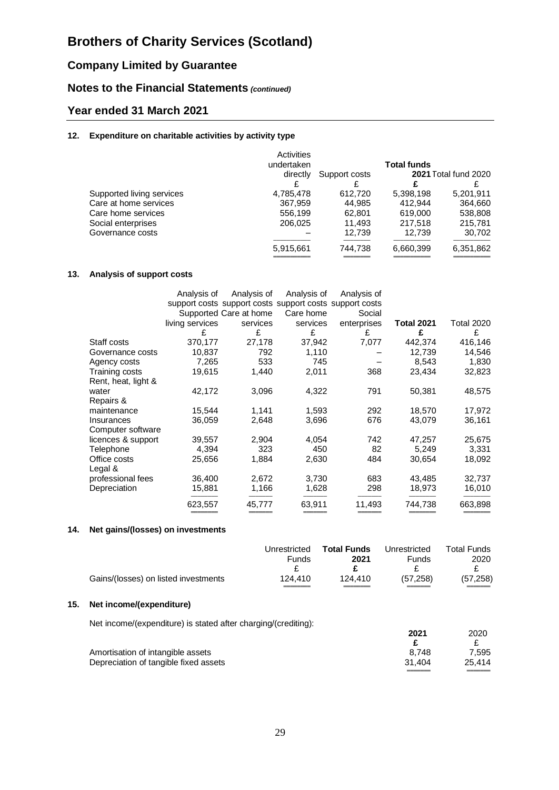# **Company Limited by Guarantee**

# **Notes to the Financial Statements** *(continued)*

# **Year ended 31 March 2021**

### **12. Expenditure on charitable activities by activity type**

|                           | Activities<br>undertaken |               | <b>Total funds</b> |                             |
|---------------------------|--------------------------|---------------|--------------------|-----------------------------|
|                           | directly                 | Support costs |                    | <b>2021 Total fund 2020</b> |
|                           |                          |               |                    |                             |
| Supported living services | 4,785,478                | 612.720       | 5,398,198          | 5,201,911                   |
| Care at home services     | 367,959                  | 44.985        | 412.944            | 364,660                     |
| Care home services        | 556.199                  | 62.801        | 619,000            | 538,808                     |
| Social enterprises        | 206,025                  | 11.493        | 217,518            | 215,781                     |
| Governance costs          |                          | 12.739        | 12.739             | 30.702                      |
|                           | 5,915,661                | 744,738       | 6,660,399          | 6,351,862                   |
|                           |                          |               |                    |                             |

### **13. Analysis of support costs**

|                     | Analysis of     | Analysis of            | Analysis of | Analysis of                                             |                   |                   |
|---------------------|-----------------|------------------------|-------------|---------------------------------------------------------|-------------------|-------------------|
|                     |                 |                        |             | support costs support costs support costs support costs |                   |                   |
|                     |                 | Supported Care at home | Care home   | Social                                                  |                   |                   |
|                     | living services | services               | services    | enterprises                                             | <b>Total 2021</b> | <b>Total 2020</b> |
|                     | £               | £                      | £           | £                                                       | £                 | £                 |
| Staff costs         | 370,177         | 27,178                 | 37,942      | 7,077                                                   | 442,374           | 416,146           |
| Governance costs    | 10,837          | 792                    | 1,110       |                                                         | 12,739            | 14,546            |
| Agency costs        | 7,265           | 533                    | 745         |                                                         | 8,543             | 1,830             |
| Training costs      | 19,615          | 1,440                  | 2,011       | 368                                                     | 23,434            | 32,823            |
| Rent, heat, light & |                 |                        |             |                                                         |                   |                   |
| water               | 42,172          | 3,096                  | 4,322       | 791                                                     | 50,381            | 48,575            |
| Repairs &           |                 |                        |             |                                                         |                   |                   |
| maintenance         | 15,544          | 1,141                  | 1,593       | 292                                                     | 18,570            | 17,972            |
| Insurances          | 36,059          | 2,648                  | 3,696       | 676                                                     | 43,079            | 36,161            |
| Computer software   |                 |                        |             |                                                         |                   |                   |
| licences & support  | 39,557          | 2,904                  | 4,054       | 742                                                     | 47,257            | 25,675            |
| Telephone           | 4,394           | 323                    | 450         | 82                                                      | 5,249             | 3,331             |
| Office costs        | 25,656          | 1,884                  | 2,630       | 484                                                     | 30,654            | 18,092            |
| Legal &             |                 |                        |             |                                                         |                   |                   |
| professional fees   | 36,400          | 2,672                  | 3,730       | 683                                                     | 43,485            | 32,737            |
| Depreciation        | 15,881          | 1,166                  | 1,628       | 298                                                     | 18,973            | 16,010            |
|                     | 623,557         | 45,777                 | 63,911      | 11,493                                                  | 744,738           | 663,898           |
|                     |                 |                        |             |                                                         |                   |                   |

### **14. Net gains/(losses) on investments**

|                                      | Unrestricted | <b>Total Funds</b> | Unrestricted | <b>Total Funds</b> |
|--------------------------------------|--------------|--------------------|--------------|--------------------|
|                                      | <b>Funds</b> | 2021               | Funds        | 2020               |
|                                      |              |                    |              |                    |
| Gains/(losses) on listed investments | 124.410      | 124.410            | (57.258)     | (57, 258)          |

### **15. Net income/(expenditure)**

Net income/(expenditure) is stated after charging/(crediting):

| There in looking/respection.org/ is stated after critical unity/referent light. |        |        |
|---------------------------------------------------------------------------------|--------|--------|
|                                                                                 | 2021   | 2020   |
|                                                                                 |        |        |
| Amortisation of intangible assets                                               | 8.748  | 7.595  |
| Depreciation of tangible fixed assets                                           | 31.404 | 25.414 |
|                                                                                 |        |        |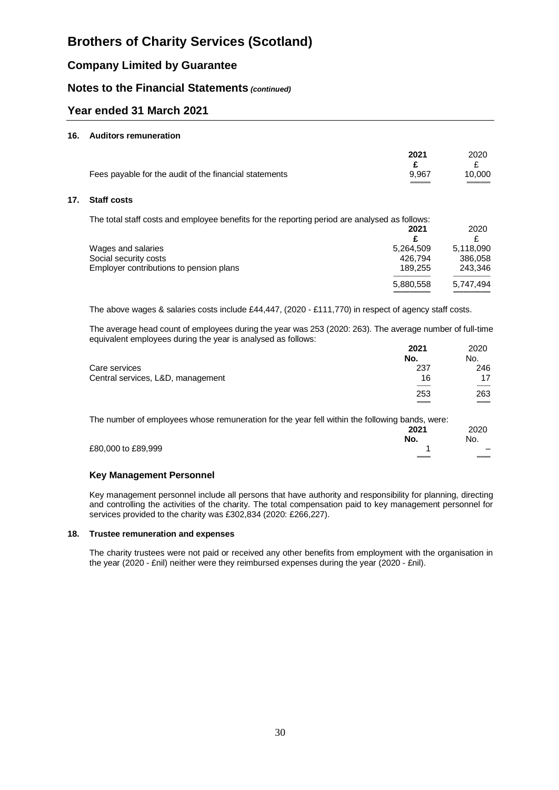# **Company Limited by Guarantee**

## **Notes to the Financial Statements** *(continued)*

# **Year ended 31 March 2021**

#### **16. Auditors remuneration**

|                                                        | 2021  | 2020   |
|--------------------------------------------------------|-------|--------|
|                                                        |       |        |
| Fees payable for the audit of the financial statements | 9.967 | 10.000 |

#### **17. Staff costs**

The total staff costs and employee benefits for the reporting period are analysed as follows:

|                                         | 2021      | 2020      |
|-----------------------------------------|-----------|-----------|
|                                         |           |           |
| Wages and salaries                      | 5.264.509 | 5.118.090 |
| Social security costs                   | 426.794   | 386,058   |
| Employer contributions to pension plans | 189.255   | 243.346   |
|                                         | 5,880,558 | 5.747.494 |
|                                         |           |           |

The above wages & salaries costs include £44,447, (2020 - £111,770) in respect of agency staff costs.

The average head count of employees during the year was 253 (2020: 263). The average number of full-time equivalent employees during the year is analysed as follows:

|                                   | 2021 | 2020 |
|-----------------------------------|------|------|
|                                   | No.  | No.  |
| Care services                     | 237  | 246  |
| Central services, L&D, management | 16   | 17   |
|                                   |      |      |
|                                   | 253  | 263  |
|                                   | ___  | ___  |

The number of employees whose remuneration for the year fell within the following bands, were:

|                    | 2021 | 2020                     |
|--------------------|------|--------------------------|
|                    | No.  | No.                      |
| £80,000 to £89,999 |      | $\overline{\phantom{0}}$ |
|                    | $=$  | $\qquad \qquad =$        |
|                    |      |                          |

#### **Key Management Personnel**

Key management personnel include all persons that have authority and responsibility for planning, directing and controlling the activities of the charity. The total compensation paid to key management personnel for services provided to the charity was £302,834 (2020: £266,227).

#### **18. Trustee remuneration and expenses**

The charity trustees were not paid or received any other benefits from employment with the organisation in the year (2020 - £nil) neither were they reimbursed expenses during the year (2020 - £nil).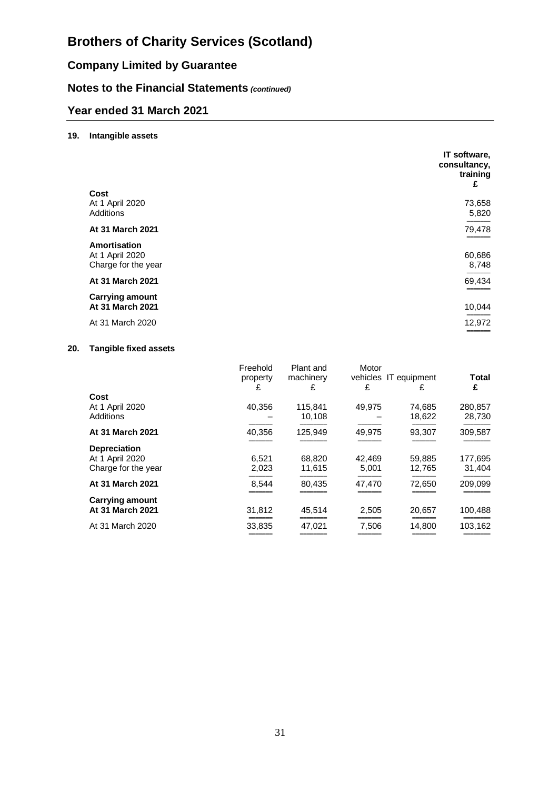# **Company Limited by Guarantee**

# **Notes to the Financial Statements** *(continued)*

# **Year ended 31 March 2021**

### **19. Intangible assets**

|                                                        | IT software,<br>consultancy,<br>training<br>£ |
|--------------------------------------------------------|-----------------------------------------------|
| Cost<br>At 1 April 2020                                | 73,658                                        |
| Additions                                              | 5,820                                         |
| At 31 March 2021                                       | 79,478                                        |
| Amortisation<br>At 1 April 2020<br>Charge for the year | 60,686<br>8,748                               |
| At 31 March 2021                                       | 69,434                                        |
| <b>Carrying amount</b><br>At 31 March 2021             | 10,044                                        |
| At 31 March 2020                                       | 12,972                                        |

### **20. Tangible fixed assets**

|                              | Freehold<br>property<br>£ | Plant and<br>machinery<br>£ | Motor<br>vehicles IT equipment<br>£ | £                | <b>Total</b><br>£ |
|------------------------------|---------------------------|-----------------------------|-------------------------------------|------------------|-------------------|
| Cost                         |                           |                             |                                     |                  |                   |
| At 1 April 2020<br>Additions | 40,356                    | 115,841<br>10,108           | 49,975                              | 74,685<br>18,622 | 280,857<br>28,730 |
| At 31 March 2021             | 40.356                    | 125.949                     | 49.975                              | 93.307           | 309,587           |
| <b>Depreciation</b>          |                           |                             |                                     |                  |                   |
| At 1 April 2020              | 6,521                     | 68,820                      | 42,469                              | 59,885           | 177,695           |
| Charge for the year          | 2,023                     | 11,615                      | 5,001                               | 12,765           | 31,404            |
| At 31 March 2021             | 8,544                     | 80.435                      | 47,470                              | 72.650           | 209.099           |
| <b>Carrying amount</b>       |                           |                             |                                     |                  |                   |
| At 31 March 2021             | 31,812                    | 45,514                      | 2,505                               | 20,657           | 100,488           |
| At 31 March 2020             | 33,835                    | 47.021                      | 7,506                               | 14,800           | 103,162           |
|                              |                           |                             |                                     |                  |                   |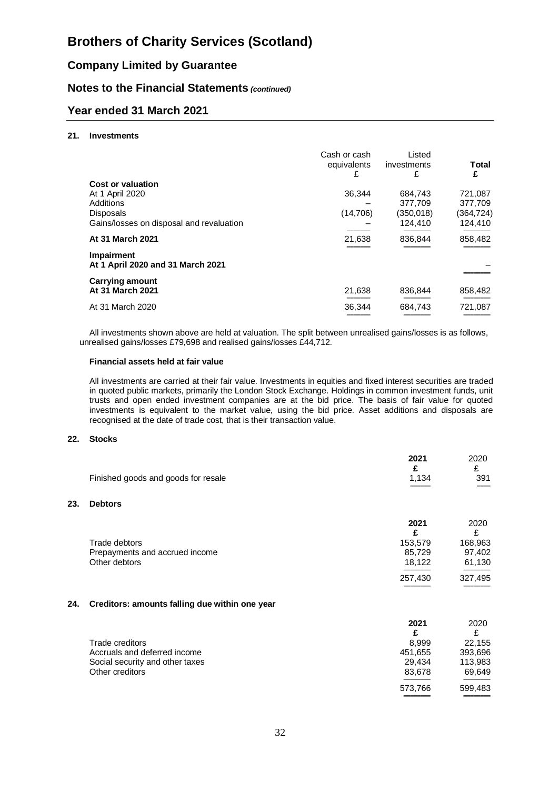# **Company Limited by Guarantee**

## **Notes to the Financial Statements** *(continued)*

## **Year ended 31 March 2021**

#### **21. Investments**

|                                                        | Cash or cash<br>equivalents | Listed<br>investments | Total     |
|--------------------------------------------------------|-----------------------------|-----------------------|-----------|
|                                                        | £                           | £                     | £         |
| Cost or valuation                                      |                             |                       |           |
| At 1 April 2020                                        | 36,344                      | 684,743               | 721,087   |
| Additions                                              |                             | 377.709               | 377,709   |
| <b>Disposals</b>                                       | (14,706)                    | (350,018)             | (364,724) |
| Gains/losses on disposal and revaluation               |                             | 124,410               | 124,410   |
| At 31 March 2021                                       | 21,638                      | 836.844               | 858,482   |
| <b>Impairment</b><br>At 1 April 2020 and 31 March 2021 |                             |                       |           |
| <b>Carrying amount</b>                                 |                             |                       |           |
| At 31 March 2021                                       | 21.638                      | 836.844               | 858,482   |
| At 31 March 2020                                       | 36.344                      | 684.743               | 721,087   |
|                                                        |                             |                       |           |

All investments shown above are held at valuation. The split between unrealised gains/losses is as follows, unrealised gains/losses £79,698 and realised gains/losses £44,712.

#### **Financial assets held at fair value**

All investments are carried at their fair value. Investments in equities and fixed interest securities are traded in quoted public markets, primarily the London Stock Exchange. Holdings in common investment funds, unit trusts and open ended investment companies are at the bid price. The basis of fair value for quoted investments is equivalent to the market value, using the bid price. Asset additions and disposals are recognised at the date of trade cost, that is their transaction value.

#### **22. Stocks**

|     | Finished goods and goods for resale            | 2021<br>£<br>1,134 | 2020<br>£<br>391 |
|-----|------------------------------------------------|--------------------|------------------|
| 23. | <b>Debtors</b>                                 |                    |                  |
|     |                                                | 2021               | 2020<br>£        |
|     | Trade debtors                                  | 153,579            | 168,963          |
|     | Prepayments and accrued income                 | 85,729             | 97,402           |
|     | Other debtors                                  | 18,122             | 61,130           |
|     |                                                | 257,430            | 327,495          |
| 24. | Creditors: amounts falling due within one year |                    |                  |

|                                 | 2021    | 2020    |
|---------------------------------|---------|---------|
|                                 |         | £       |
| Trade creditors                 | 8.999   | 22,155  |
| Accruals and deferred income    | 451,655 | 393,696 |
| Social security and other taxes | 29.434  | 113,983 |
| Other creditors                 | 83,678  | 69,649  |
|                                 | 573,766 | 599,483 |
|                                 |         |         |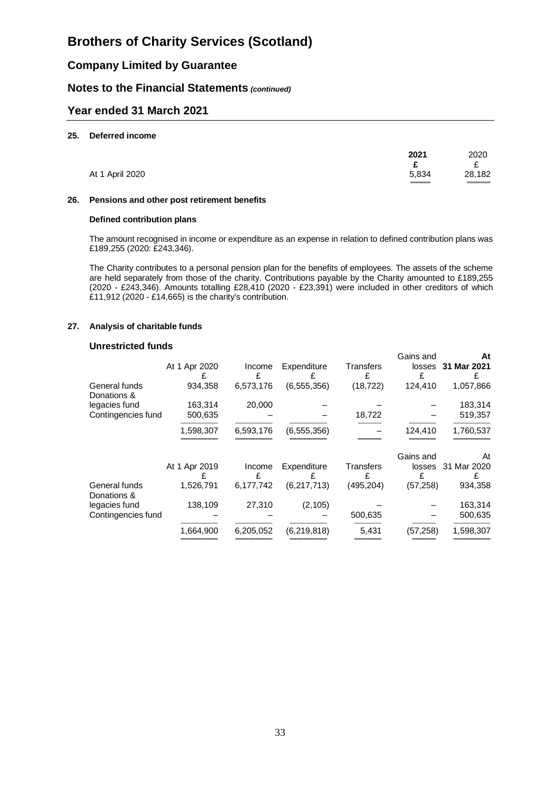## **Company Limited by Guarantee**

### **Notes to the Financial Statements** *(continued)*

### **Year ended 31 March 2021**

#### **25. Deferred income**

|                 | 2021           | 2020              |
|-----------------|----------------|-------------------|
| At 1 April 2020 | 5,834<br>_____ | 28,182<br>_______ |

#### **26. Pensions and other post retirement benefits**

#### **Defined contribution plans**

The amount recognised in income or expenditure as an expense in relation to defined contribution plans was £189,255 (2020: £243,346).

The Charity contributes to a personal pension plan for the benefits of employees. The assets of the scheme are held separately from those of the charity. Contributions payable by the Charity amounted to £189,255 (2020 - £243,346). Amounts totalling £28,410 (2020 - £23,391) were included in other creditors of which £11,912 (2020 - £14,665) is the charity's contribution.

#### **27. Analysis of charitable funds**

#### **Unrestricted funds**

|                              | At 1 Apr 2020 | Income<br>£ | Expenditure   | Transters<br>£ | Gains and<br>losses<br>£ | At<br>31 Mar 2021<br>£ |
|------------------------------|---------------|-------------|---------------|----------------|--------------------------|------------------------|
| General funds<br>Donations & | 934.358       | 6,573,176   | (6, 555, 356) | (18, 722)      | 124,410                  | 1,057,866              |
| legacies fund                | 163,314       | 20,000      |               |                |                          | 183,314                |
| Contingencies fund           | 500,635       |             |               | 18,722         |                          | 519,357                |
|                              | 1,598,307     | 6,593,176   | (6, 555, 356) |                | 124,410                  | 1,760,537              |
|                              | At 1 Apr 2019 | Income      | Expenditure   | Transfers      | Gains and<br>losses      | At<br>31 Mar 2020      |
| General funds<br>Donations & | 1,526,791     | 6,177,742   | (6,217,713)   | (495, 204)     | (57, 258)                | 934,358                |
| legacies fund                | 138,109       | 27,310      | (2, 105)      |                |                          | 163,314                |
| Contingencies fund           |               |             |               | 500,635        |                          | 500,635                |
|                              | 1,664,900     | 6,205,052   | (6, 219, 818) | 5,431          | (57, 258)                | 1,598,307              |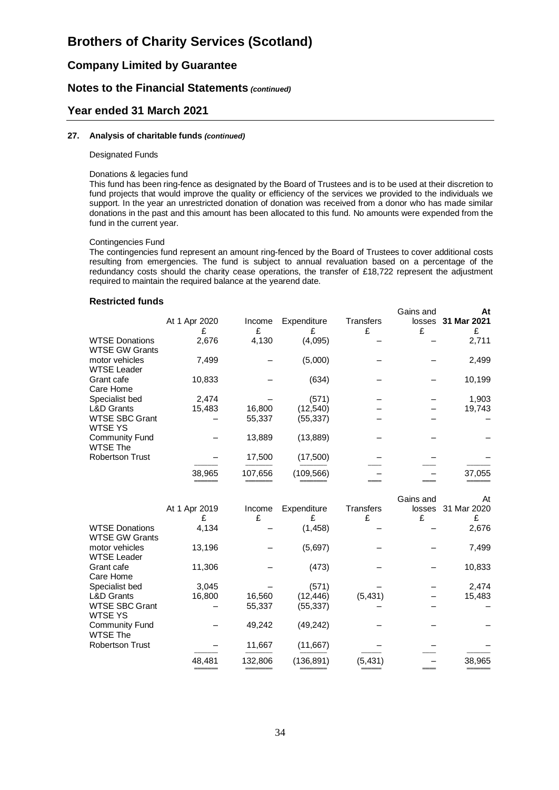# **Company Limited by Guarantee**

## **Notes to the Financial Statements** *(continued)*

### **Year ended 31 March 2021**

#### **27. Analysis of charitable funds** *(continued)*

#### Designated Funds

#### Donations & legacies fund

This fund has been ring-fence as designated by the Board of Trustees and is to be used at their discretion to fund projects that would improve the quality or efficiency of the services we provided to the individuals we support. In the year an unrestricted donation of donation was received from a donor who has made similar donations in the past and this amount has been allocated to this fund. No amounts were expended from the fund in the current year.

#### Contingencies Fund

The contingencies fund represent an amount ring-fenced by the Board of Trustees to cover additional costs resulting from emergencies. The fund is subject to annual revaluation based on a percentage of the redundancy costs should the charity cease operations, the transfer of £18,722 represent the adjustment required to maintain the required balance at the yearend date.

#### **Restricted funds**

|                                                | At 1 Apr 2020 | Income<br>£ | Expenditure | Transfers<br>£ | Gains and<br>losses<br>£ | At<br>31 Mar 2021<br>£ |
|------------------------------------------------|---------------|-------------|-------------|----------------|--------------------------|------------------------|
| <b>WTSE Donations</b><br><b>WTSE GW Grants</b> | 2,676         | 4,130       | (4,095)     |                |                          | 2,711                  |
| motor vehicles<br><b>WTSE Leader</b>           | 7,499         |             | (5,000)     |                |                          | 2,499                  |
| Grant cafe<br>Care Home                        | 10,833        |             | (634)       |                |                          | 10,199                 |
| Specialist bed                                 | 2,474         |             | (571)       |                |                          | 1,903                  |
| <b>L&amp;D Grants</b>                          | 15,483        | 16,800      | (12,540)    |                |                          | 19,743                 |
| <b>WTSE SBC Grant</b><br><b>WTSE YS</b>        |               | 55,337      | (55, 337)   |                |                          |                        |
| <b>Community Fund</b><br><b>WTSE The</b>       |               | 13,889      | (13, 889)   |                |                          |                        |
| <b>Robertson Trust</b>                         |               | 17,500      | (17,500)    |                |                          |                        |
|                                                | 38,965        | 107,656     | (109,566)   |                |                          | 37,055                 |

|                        | At 1 Apr 2019 | Income<br>£ | Expenditure<br>£ | Transfers<br>£ | Gains and<br>losses<br>£ | At<br>31 Mar 2020 |
|------------------------|---------------|-------------|------------------|----------------|--------------------------|-------------------|
| <b>WTSE Donations</b>  | 4,134         |             | (1,458)          |                |                          | £<br>2,676        |
| <b>WTSE GW Grants</b>  |               |             |                  |                |                          |                   |
| motor vehicles         | 13,196        |             | (5,697)          |                |                          | 7,499             |
| <b>WTSE Leader</b>     |               |             |                  |                |                          |                   |
| Grant cafe             | 11,306        |             | (473)            |                |                          | 10,833            |
| Care Home              |               |             |                  |                |                          |                   |
| Specialist bed         | 3,045         |             | (571)            |                |                          | 2,474             |
| <b>L&amp;D Grants</b>  | 16,800        | 16,560      | (12, 446)        | (5, 431)       |                          | 15,483            |
| <b>WTSE SBC Grant</b>  |               | 55,337      | (55,337)         |                |                          |                   |
| <b>WTSE YS</b>         |               |             |                  |                |                          |                   |
| <b>Community Fund</b>  |               | 49,242      | (49,242)         |                |                          |                   |
| <b>WTSE The</b>        |               |             |                  |                |                          |                   |
| <b>Robertson Trust</b> |               | 11,667      | (11,667)         |                |                          |                   |
|                        | 48,481        | 132,806     | (136, 891)       | (5,431)        |                          | 38,965            |
|                        |               |             |                  |                |                          |                   |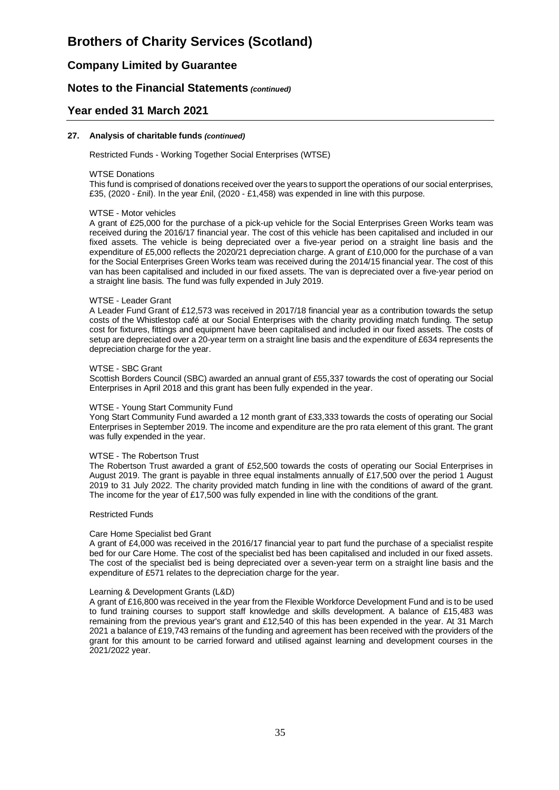## **Company Limited by Guarantee**

### **Notes to the Financial Statements** *(continued)*

### **Year ended 31 March 2021**

#### **27. Analysis of charitable funds** *(continued)*

Restricted Funds - Working Together Social Enterprises (WTSE)

#### WTSE Donations

This fund is comprised of donations received over the years to support the operations of our social enterprises, £35, (2020 - £nil). In the year £nil, (2020 - £1,458) was expended in line with this purpose.

#### WTSE - Motor vehicles

A grant of £25,000 for the purchase of a pick-up vehicle for the Social Enterprises Green Works team was received during the 2016/17 financial year. The cost of this vehicle has been capitalised and included in our fixed assets. The vehicle is being depreciated over a five-year period on a straight line basis and the expenditure of £5,000 reflects the 2020/21 depreciation charge. A grant of £10,000 for the purchase of a van for the Social Enterprises Green Works team was received during the 2014/15 financial year. The cost of this van has been capitalised and included in our fixed assets. The van is depreciated over a five-year period on a straight line basis. The fund was fully expended in July 2019.

#### WTSE - Leader Grant

A Leader Fund Grant of £12,573 was received in 2017/18 financial year as a contribution towards the setup costs of the Whistlestop café at our Social Enterprises with the charity providing match funding. The setup cost for fixtures, fittings and equipment have been capitalised and included in our fixed assets. The costs of setup are depreciated over a 20-year term on a straight line basis and the expenditure of £634 represents the depreciation charge for the year.

#### WTSE - SBC Grant

Scottish Borders Council (SBC) awarded an annual grant of £55,337 towards the cost of operating our Social Enterprises in April 2018 and this grant has been fully expended in the year.

#### WTSE - Young Start Community Fund

Yong Start Community Fund awarded a 12 month grant of £33,333 towards the costs of operating our Social Enterprises in September 2019. The income and expenditure are the pro rata element of this grant. The grant was fully expended in the year.

#### WTSE - The Robertson Trust

The Robertson Trust awarded a grant of £52,500 towards the costs of operating our Social Enterprises in August 2019. The grant is payable in three equal instalments annually of £17,500 over the period 1 August 2019 to 31 July 2022. The charity provided match funding in line with the conditions of award of the grant. The income for the year of £17,500 was fully expended in line with the conditions of the grant.

#### Restricted Funds

#### Care Home Specialist bed Grant

A grant of £4,000 was received in the 2016/17 financial year to part fund the purchase of a specialist respite bed for our Care Home. The cost of the specialist bed has been capitalised and included in our fixed assets. The cost of the specialist bed is being depreciated over a seven-year term on a straight line basis and the expenditure of £571 relates to the depreciation charge for the year.

#### Learning & Development Grants (L&D)

A grant of £16,800 was received in the year from the Flexible Workforce Development Fund and is to be used to fund training courses to support staff knowledge and skills development. A balance of £15,483 was remaining from the previous year's grant and £12,540 of this has been expended in the year. At 31 March 2021 a balance of £19,743 remains of the funding and agreement has been received with the providers of the grant for this amount to be carried forward and utilised against learning and development courses in the 2021/2022 year.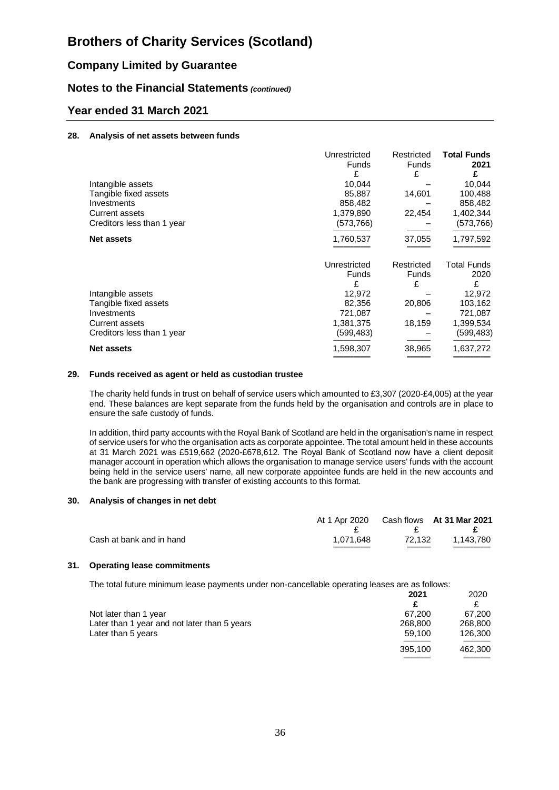# **Company Limited by Guarantee**

## **Notes to the Financial Statements** *(continued)*

## **Year ended 31 March 2021**

#### **28. Analysis of net assets between funds**

|                            | Unrestricted | Restricted | <b>Total Funds</b> |
|----------------------------|--------------|------------|--------------------|
|                            | Funds        | Funds      | 2021               |
|                            | £            | £          | £                  |
| Intangible assets          | 10,044       |            | 10,044             |
| Tangible fixed assets      | 85,887       | 14,601     | 100,488            |
| Investments                | 858,482      |            | 858,482            |
| <b>Current assets</b>      | 1,379,890    | 22,454     | 1,402,344          |
| Creditors less than 1 year | (573,766)    |            | (573,766)          |
| <b>Net assets</b>          | 1,760,537    | 37,055     | 1,797,592          |
|                            | Unrestricted | Restricted | Total Funds        |
|                            | Funds        | Funds      | 2020               |
|                            | £            | £          | £                  |
| Intangible assets          | 12,972       |            | 12,972             |
| Tangible fixed assets      | 82,356       | 20,806     | 103,162            |
| Investments                | 721,087      |            | 721,087            |
| <b>Current assets</b>      | 1,381,375    | 18,159     | 1,399,534          |
| Creditors less than 1 year | (599,483)    |            | (599,483)          |
| <b>Net assets</b>          | 1,598,307    | 38,965     | 1,637,272          |
|                            |              |            |                    |

#### **29. Funds received as agent or held as custodian trustee**

The charity held funds in trust on behalf of service users which amounted to £3,307 (2020-£4,005) at the year end. These balances are kept separate from the funds held by the organisation and controls are in place to ensure the safe custody of funds.

In addition, third party accounts with the Royal Bank of Scotland are held in the organisation's name in respect of service users for who the organisation acts as corporate appointee. The total amount held in these accounts at 31 March 2021 was £519,662 (2020-£678,612. The Royal Bank of Scotland now have a client deposit manager account in operation which allows the organisation to manage service users' funds with the account being held in the service users' name, all new corporate appointee funds are held in the new accounts and the bank are progressing with transfer of existing accounts to this format.

#### **30. Analysis of changes in net debt**

|                          | At 1 Apr 2020 Cash flows At 31 Mar 2021 | $\mathbf{F}$ | $\mathbf{E}$ |
|--------------------------|-----------------------------------------|--------------|--------------|
| Cash at bank and in hand | 1.071.648                               | 72.132       | 1.143.780    |

#### **31. Operating lease commitments**

The total future minimum lease payments under non-cancellable operating leases are as follows:

|                                              | 2021    | 2020    |
|----------------------------------------------|---------|---------|
|                                              |         |         |
| Not later than 1 year                        | 67.200  | 67.200  |
| Later than 1 year and not later than 5 years | 268,800 | 268,800 |
| Later than 5 years                           | 59.100  | 126,300 |
|                                              | 395,100 | 462,300 |

═══════════════════════════════════